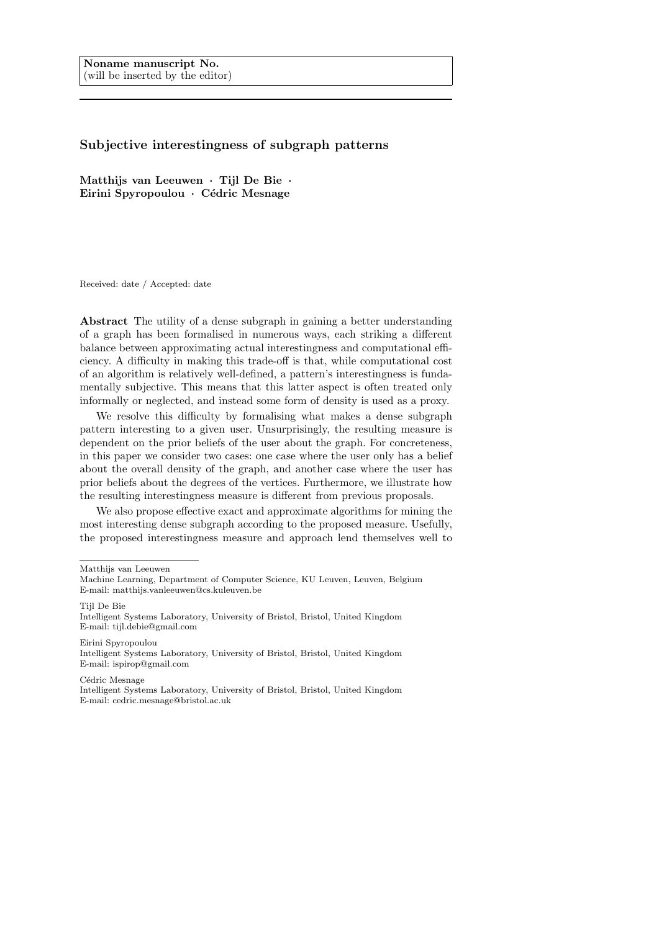# Subjective interestingness of subgraph patterns

Matthijs van Leeuwen · Tijl De Bie · Eirini Spyropoulou · Cédric Mesnage

Received: date / Accepted: date

Abstract The utility of a dense subgraph in gaining a better understanding of a graph has been formalised in numerous ways, each striking a different balance between approximating actual interestingness and computational efficiency. A difficulty in making this trade-off is that, while computational cost of an algorithm is relatively well-defined, a pattern's interestingness is fundamentally subjective. This means that this latter aspect is often treated only informally or neglected, and instead some form of density is used as a proxy.

We resolve this difficulty by formalising what makes a dense subgraph pattern interesting to a given user. Unsurprisingly, the resulting measure is dependent on the prior beliefs of the user about the graph. For concreteness, in this paper we consider two cases: one case where the user only has a belief about the overall density of the graph, and another case where the user has prior beliefs about the degrees of the vertices. Furthermore, we illustrate how the resulting interestingness measure is different from previous proposals.

We also propose effective exact and approximate algorithms for mining the most interesting dense subgraph according to the proposed measure. Usefully, the proposed interestingness measure and approach lend themselves well to

Matthijs van Leeuwen

Tijl De Bie Intelligent Systems Laboratory, University of Bristol, Bristol, United Kingdom E-mail: tijl.debie@gmail.com

Eirini Spyropoulou Intelligent Systems Laboratory, University of Bristol, Bristol, United Kingdom E-mail: ispirop@gmail.com

Cédric Mesnage Intelligent Systems Laboratory, University of Bristol, Bristol, United Kingdom E-mail: cedric.mesnage@bristol.ac.uk

Machine Learning, Department of Computer Science, KU Leuven, Leuven, Belgium E-mail: matthijs.vanleeuwen@cs.kuleuven.be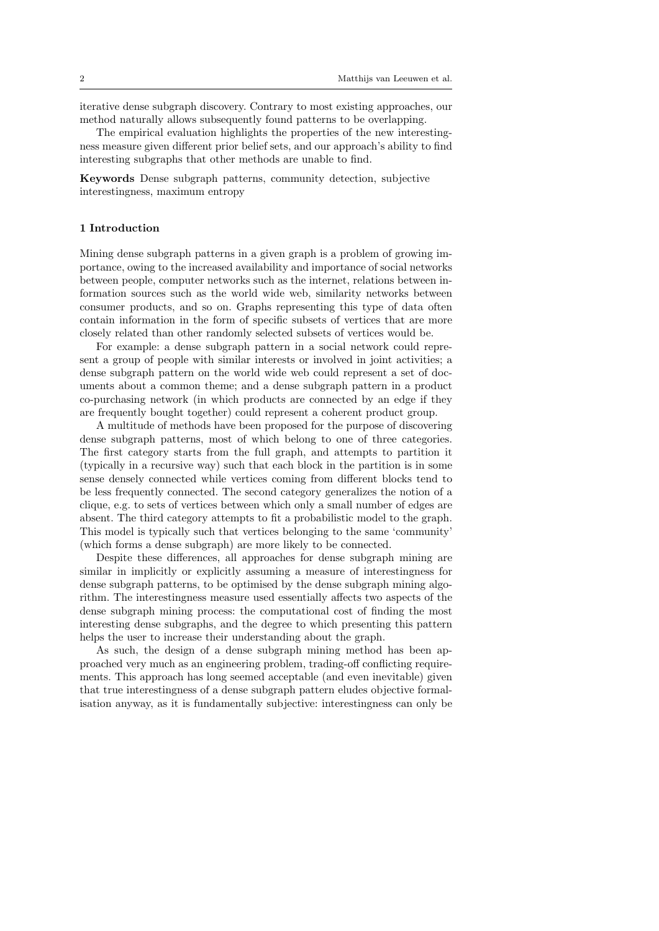iterative dense subgraph discovery. Contrary to most existing approaches, our method naturally allows subsequently found patterns to be overlapping.

The empirical evaluation highlights the properties of the new interestingness measure given different prior belief sets, and our approach's ability to find interesting subgraphs that other methods are unable to find.

Keywords Dense subgraph patterns, community detection, subjective interestingness, maximum entropy

### 1 Introduction

Mining dense subgraph patterns in a given graph is a problem of growing importance, owing to the increased availability and importance of social networks between people, computer networks such as the internet, relations between information sources such as the world wide web, similarity networks between consumer products, and so on. Graphs representing this type of data often contain information in the form of specific subsets of vertices that are more closely related than other randomly selected subsets of vertices would be.

For example: a dense subgraph pattern in a social network could represent a group of people with similar interests or involved in joint activities; a dense subgraph pattern on the world wide web could represent a set of documents about a common theme; and a dense subgraph pattern in a product co-purchasing network (in which products are connected by an edge if they are frequently bought together) could represent a coherent product group.

A multitude of methods have been proposed for the purpose of discovering dense subgraph patterns, most of which belong to one of three categories. The first category starts from the full graph, and attempts to partition it (typically in a recursive way) such that each block in the partition is in some sense densely connected while vertices coming from different blocks tend to be less frequently connected. The second category generalizes the notion of a clique, e.g. to sets of vertices between which only a small number of edges are absent. The third category attempts to fit a probabilistic model to the graph. This model is typically such that vertices belonging to the same 'community' (which forms a dense subgraph) are more likely to be connected.

Despite these differences, all approaches for dense subgraph mining are similar in implicitly or explicitly assuming a measure of interestingness for dense subgraph patterns, to be optimised by the dense subgraph mining algorithm. The interestingness measure used essentially affects two aspects of the dense subgraph mining process: the computational cost of finding the most interesting dense subgraphs, and the degree to which presenting this pattern helps the user to increase their understanding about the graph.

As such, the design of a dense subgraph mining method has been approached very much as an engineering problem, trading-off conflicting requirements. This approach has long seemed acceptable (and even inevitable) given that true interestingness of a dense subgraph pattern eludes objective formalisation anyway, as it is fundamentally subjective: interestingness can only be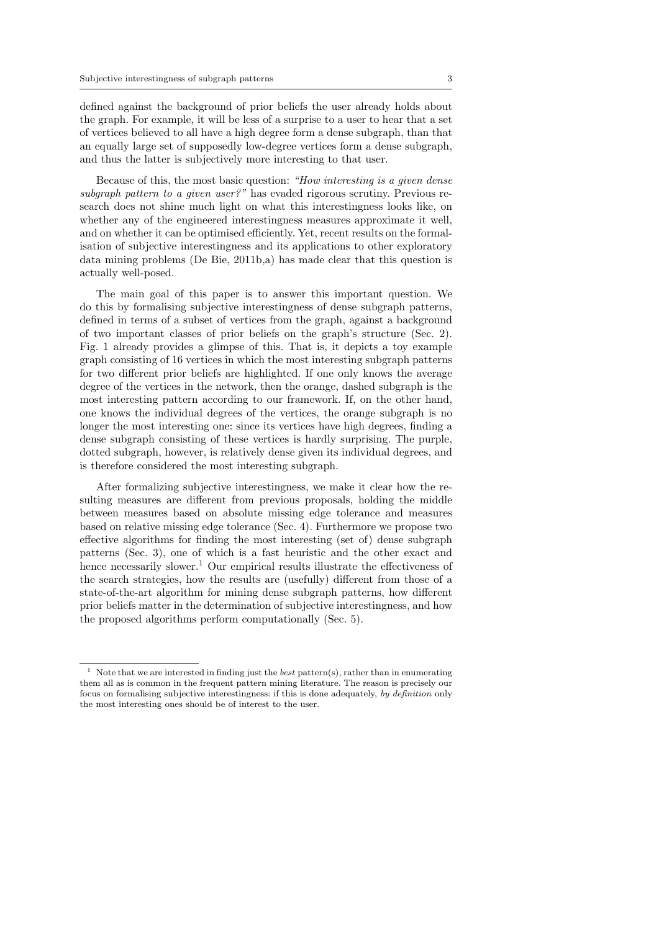defined against the background of prior beliefs the user already holds about the graph. For example, it will be less of a surprise to a user to hear that a set of vertices believed to all have a high degree form a dense subgraph, than that an equally large set of supposedly low-degree vertices form a dense subgraph, and thus the latter is subjectively more interesting to that user.

Because of this, the most basic question: "How interesting is a given dense subgraph pattern to a given user?" has evaded rigorous scrutiny. Previous research does not shine much light on what this interestingness looks like, on whether any of the engineered interestingness measures approximate it well, and on whether it can be optimised efficiently. Yet, recent results on the formalisation of subjective interestingness and its applications to other exploratory data mining problems (De Bie, 2011b,a) has made clear that this question is actually well-posed.

The main goal of this paper is to answer this important question. We do this by formalising subjective interestingness of dense subgraph patterns, defined in terms of a subset of vertices from the graph, against a background of two important classes of prior beliefs on the graph's structure (Sec. 2). Fig. 1 already provides a glimpse of this. That is, it depicts a toy example graph consisting of 16 vertices in which the most interesting subgraph patterns for two different prior beliefs are highlighted. If one only knows the average degree of the vertices in the network, then the orange, dashed subgraph is the most interesting pattern according to our framework. If, on the other hand, one knows the individual degrees of the vertices, the orange subgraph is no longer the most interesting one: since its vertices have high degrees, finding a dense subgraph consisting of these vertices is hardly surprising. The purple, dotted subgraph, however, is relatively dense given its individual degrees, and is therefore considered the most interesting subgraph.

After formalizing subjective interestingness, we make it clear how the resulting measures are different from previous proposals, holding the middle between measures based on absolute missing edge tolerance and measures based on relative missing edge tolerance (Sec. 4). Furthermore we propose two effective algorithms for finding the most interesting (set of) dense subgraph patterns (Sec. 3), one of which is a fast heuristic and the other exact and hence necessarily slower.<sup>1</sup> Our empirical results illustrate the effectiveness of the search strategies, how the results are (usefully) different from those of a state-of-the-art algorithm for mining dense subgraph patterns, how different prior beliefs matter in the determination of subjective interestingness, and how the proposed algorithms perform computationally (Sec. 5).

 $^{\rm 1}$  Note that we are interested in finding just the *best* pattern(s), rather than in enumerating them all as is common in the frequent pattern mining literature. The reason is precisely our focus on formalising subjective interestingness: if this is done adequately, by definition only the most interesting ones should be of interest to the user.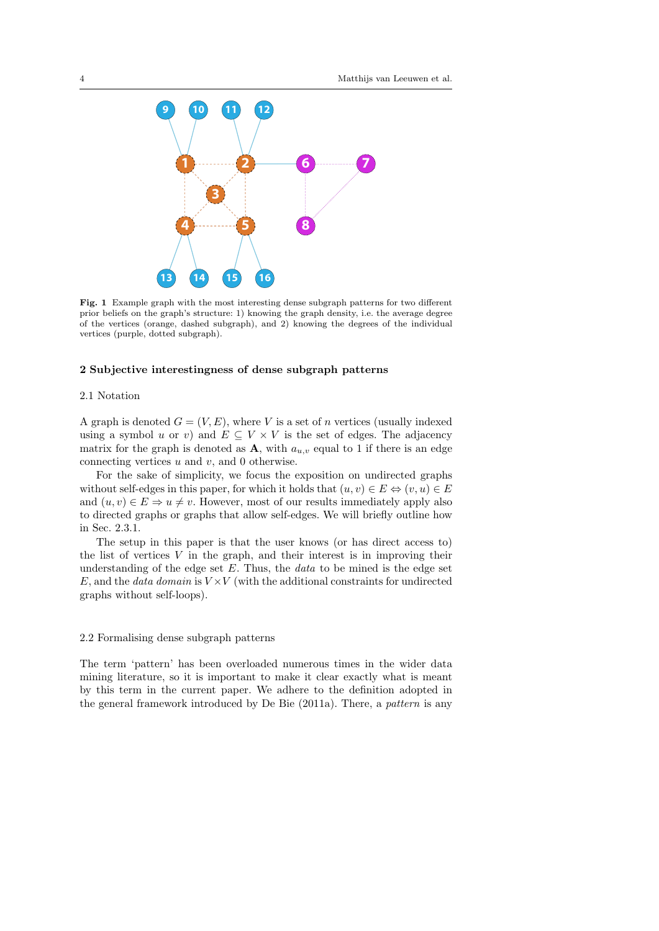

Fig. 1 Example graph with the most interesting dense subgraph patterns for two different prior beliefs on the graph's structure: 1) knowing the graph density, i.e. the average degree of the vertices (orange, dashed subgraph), and 2) knowing the degrees of the individual vertices (purple, dotted subgraph).

# 2 Subjective interestingness of dense subgraph patterns

# 2.1 Notation

A graph is denoted  $G = (V, E)$ , where V is a set of n vertices (usually indexed using a symbol u or v) and  $E \subseteq V \times V$  is the set of edges. The adjacency matrix for the graph is denoted as  $A$ , with  $a_{u,v}$  equal to 1 if there is an edge connecting vertices  $u$  and  $v$ , and  $0$  otherwise.

For the sake of simplicity, we focus the exposition on undirected graphs without self-edges in this paper, for which it holds that  $(u, v) \in E \Leftrightarrow (v, u) \in E$ and  $(u, v) \in E \Rightarrow u \neq v$ . However, most of our results immediately apply also to directed graphs or graphs that allow self-edges. We will briefly outline how in Sec. 2.3.1.

The setup in this paper is that the user knows (or has direct access to) the list of vertices  $V$  in the graph, and their interest is in improving their understanding of the edge set  $E$ . Thus, the *data* to be mined is the edge set  $E$ , and the *data domain* is  $V \times V$  (with the additional constraints for undirected graphs without self-loops).

# 2.2 Formalising dense subgraph patterns

The term 'pattern' has been overloaded numerous times in the wider data mining literature, so it is important to make it clear exactly what is meant by this term in the current paper. We adhere to the definition adopted in the general framework introduced by De Bie (2011a). There, a pattern is any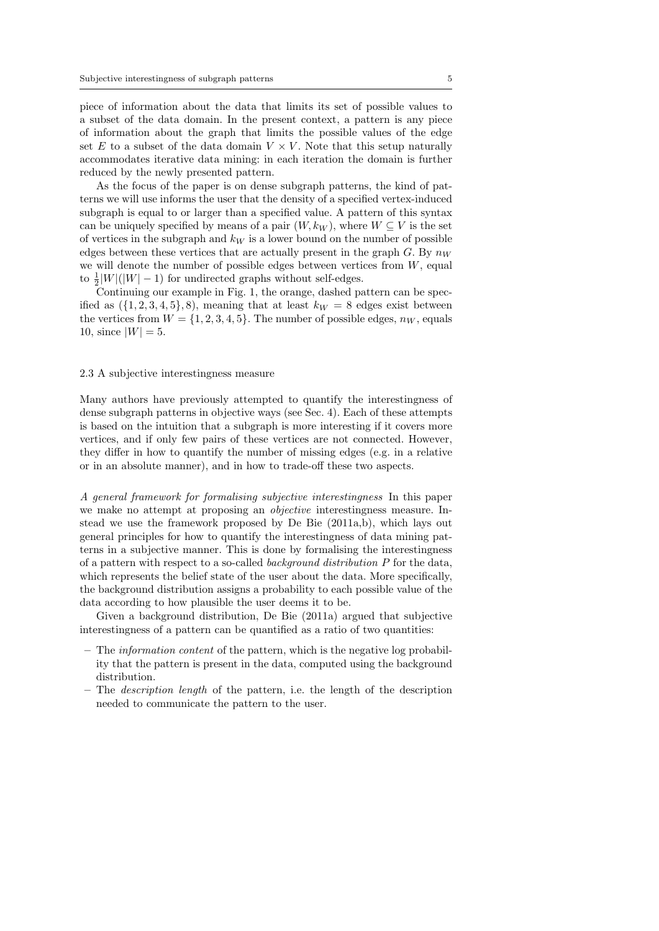piece of information about the data that limits its set of possible values to a subset of the data domain. In the present context, a pattern is any piece of information about the graph that limits the possible values of the edge set E to a subset of the data domain  $V \times V$ . Note that this setup naturally accommodates iterative data mining: in each iteration the domain is further reduced by the newly presented pattern.

As the focus of the paper is on dense subgraph patterns, the kind of patterns we will use informs the user that the density of a specified vertex-induced subgraph is equal to or larger than a specified value. A pattern of this syntax can be uniquely specified by means of a pair  $(W, k_W)$ , where  $W \subseteq V$  is the set of vertices in the subgraph and  $k_W$  is a lower bound on the number of possible edges between these vertices that are actually present in the graph  $G$ . By  $n_W$ we will denote the number of possible edges between vertices from  $W$ , equal to  $\frac{1}{2}|W|(|W|-1)$  for undirected graphs without self-edges.

Continuing our example in Fig. 1, the orange, dashed pattern can be specified as  $({1, 2, 3, 4, 5}, 8)$ , meaning that at least  $k_W = 8$  edges exist between the vertices from  $W = \{1, 2, 3, 4, 5\}$ . The number of possible edges,  $n_W$ , equals 10, since  $|W| = 5$ .

#### 2.3 A subjective interestingness measure

Many authors have previously attempted to quantify the interestingness of dense subgraph patterns in objective ways (see Sec. 4). Each of these attempts is based on the intuition that a subgraph is more interesting if it covers more vertices, and if only few pairs of these vertices are not connected. However, they differ in how to quantify the number of missing edges (e.g. in a relative or in an absolute manner), and in how to trade-off these two aspects.

A general framework for formalising subjective interestingness In this paper we make no attempt at proposing an objective interestingness measure. Instead we use the framework proposed by De Bie (2011a,b), which lays out general principles for how to quantify the interestingness of data mining patterns in a subjective manner. This is done by formalising the interestingness of a pattern with respect to a so-called background distribution  $P$  for the data, which represents the belief state of the user about the data. More specifically, the background distribution assigns a probability to each possible value of the data according to how plausible the user deems it to be.

Given a background distribution, De Bie (2011a) argued that subjective interestingness of a pattern can be quantified as a ratio of two quantities:

- $-$  The *information content* of the pattern, which is the negative log probability that the pattern is present in the data, computed using the background distribution.
- $-$  The *description length* of the pattern, i.e. the length of the description needed to communicate the pattern to the user.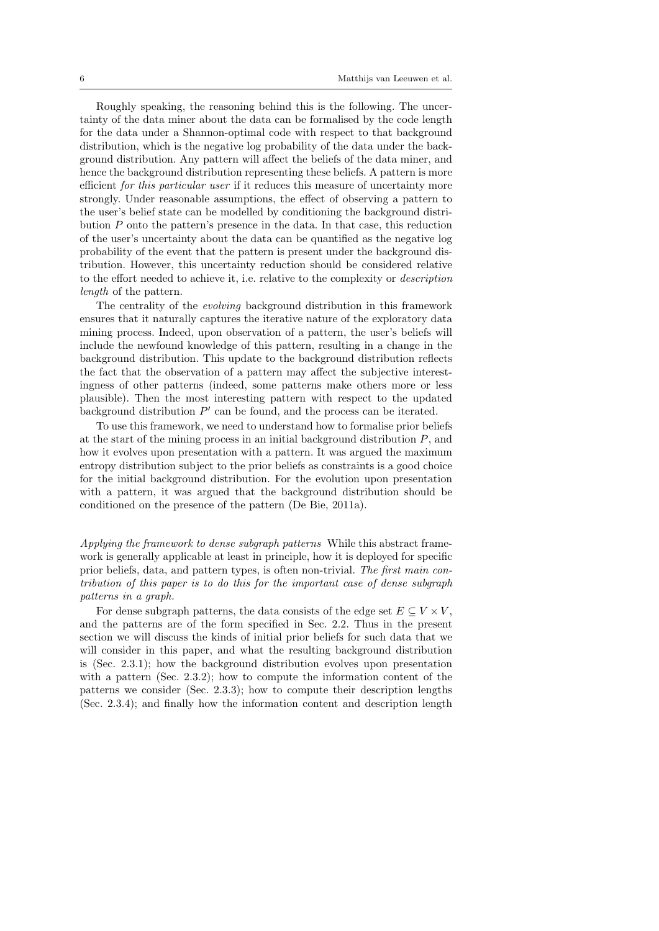Roughly speaking, the reasoning behind this is the following. The uncertainty of the data miner about the data can be formalised by the code length for the data under a Shannon-optimal code with respect to that background distribution, which is the negative log probability of the data under the background distribution. Any pattern will affect the beliefs of the data miner, and hence the background distribution representing these beliefs. A pattern is more efficient for this particular user if it reduces this measure of uncertainty more strongly. Under reasonable assumptions, the effect of observing a pattern to the user's belief state can be modelled by conditioning the background distribution  $P$  onto the pattern's presence in the data. In that case, this reduction of the user's uncertainty about the data can be quantified as the negative log probability of the event that the pattern is present under the background distribution. However, this uncertainty reduction should be considered relative to the effort needed to achieve it, i.e. relative to the complexity or description length of the pattern.

The centrality of the evolving background distribution in this framework ensures that it naturally captures the iterative nature of the exploratory data mining process. Indeed, upon observation of a pattern, the user's beliefs will include the newfound knowledge of this pattern, resulting in a change in the background distribution. This update to the background distribution reflects the fact that the observation of a pattern may affect the subjective interestingness of other patterns (indeed, some patterns make others more or less plausible). Then the most interesting pattern with respect to the updated background distribution  $P'$  can be found, and the process can be iterated.

To use this framework, we need to understand how to formalise prior beliefs at the start of the mining process in an initial background distribution  $P$ , and how it evolves upon presentation with a pattern. It was argued the maximum entropy distribution subject to the prior beliefs as constraints is a good choice for the initial background distribution. For the evolution upon presentation with a pattern, it was argued that the background distribution should be conditioned on the presence of the pattern (De Bie, 2011a).

Applying the framework to dense subgraph patterns While this abstract framework is generally applicable at least in principle, how it is deployed for specific prior beliefs, data, and pattern types, is often non-trivial. The first main contribution of this paper is to do this for the important case of dense subgraph patterns in a graph.

For dense subgraph patterns, the data consists of the edge set  $E \subseteq V \times V$ , and the patterns are of the form specified in Sec. 2.2. Thus in the present section we will discuss the kinds of initial prior beliefs for such data that we will consider in this paper, and what the resulting background distribution is (Sec. 2.3.1); how the background distribution evolves upon presentation with a pattern (Sec. 2.3.2); how to compute the information content of the patterns we consider (Sec. 2.3.3); how to compute their description lengths (Sec. 2.3.4); and finally how the information content and description length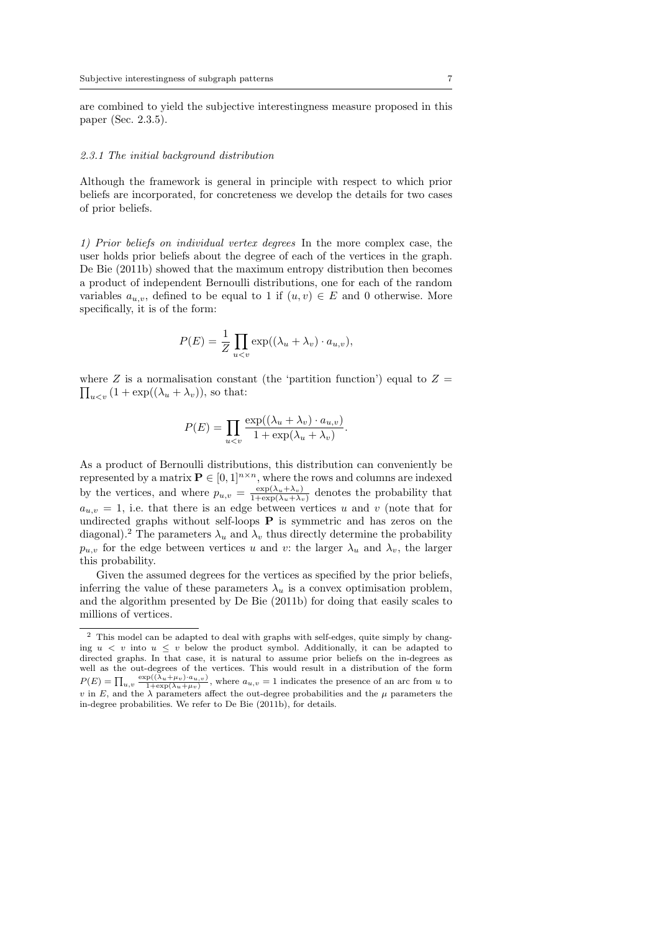are combined to yield the subjective interestingness measure proposed in this paper (Sec. 2.3.5).

### 2.3.1 The initial background distribution

Although the framework is general in principle with respect to which prior beliefs are incorporated, for concreteness we develop the details for two cases of prior beliefs.

1) Prior beliefs on individual vertex degrees In the more complex case, the user holds prior beliefs about the degree of each of the vertices in the graph. De Bie (2011b) showed that the maximum entropy distribution then becomes a product of independent Bernoulli distributions, one for each of the random variables  $a_{u,v}$ , defined to be equal to 1 if  $(u, v) \in E$  and 0 otherwise. More specifically, it is of the form:

$$
P(E) = \frac{1}{Z} \prod_{u < v} \exp((\lambda_u + \lambda_v) \cdot a_{u,v}),
$$

where Z is a normalisation constant (the 'partition function') equal to  $Z =$  $\prod_{u, so that:$ 

$$
P(E) = \prod_{u
$$

As a product of Bernoulli distributions, this distribution can conveniently be represented by a matrix  $\mathbf{P} \in [0, 1]^{n \times n}$ , where the rows and columns are indexed by the vertices, and where  $p_{u,v} = \frac{\exp(\lambda_u + \lambda_v)}{1 + \exp(\lambda_u + \lambda_v)}$  $\frac{\exp(\lambda_u + \lambda_v)}{1 + \exp(\lambda_u + \lambda_v)}$  denotes the probability that  $a_{u,v} = 1$ , i.e. that there is an edge between vertices u and v (note that for undirected graphs without self-loops  $P$  is symmetric and has zeros on the diagonal).<sup>2</sup> The parameters  $\lambda_u$  and  $\lambda_v$  thus directly determine the probability  $p_{u,v}$  for the edge between vertices u and v: the larger  $\lambda_u$  and  $\lambda_v$ , the larger this probability.

Given the assumed degrees for the vertices as specified by the prior beliefs, inferring the value of these parameters  $\lambda_u$  is a convex optimisation problem, and the algorithm presented by De Bie (2011b) for doing that easily scales to millions of vertices.

<sup>&</sup>lt;sup>2</sup> This model can be adapted to deal with graphs with self-edges, quite simply by changing  $u < v$  into  $u \leq v$  below the product symbol. Additionally, it can be adapted to directed graphs. In that case, it is natural to assume prior beliefs on the in-degrees as well as the out-degrees of the vertices. This would result in a distribution of the form  $P(E) = \prod_{u,v} \frac{\exp((\lambda_u + \mu_v) \cdot a_{u,v})}{1 + \exp(\lambda_u + \mu_v)},$  where  $a_{u,v} = 1$  indicates the presence of an arc from u to v in E, and the  $\lambda$  parameters affect the out-degree probabilities and the  $\mu$  parameters the in-degree probabilities. We refer to De Bie (2011b), for details.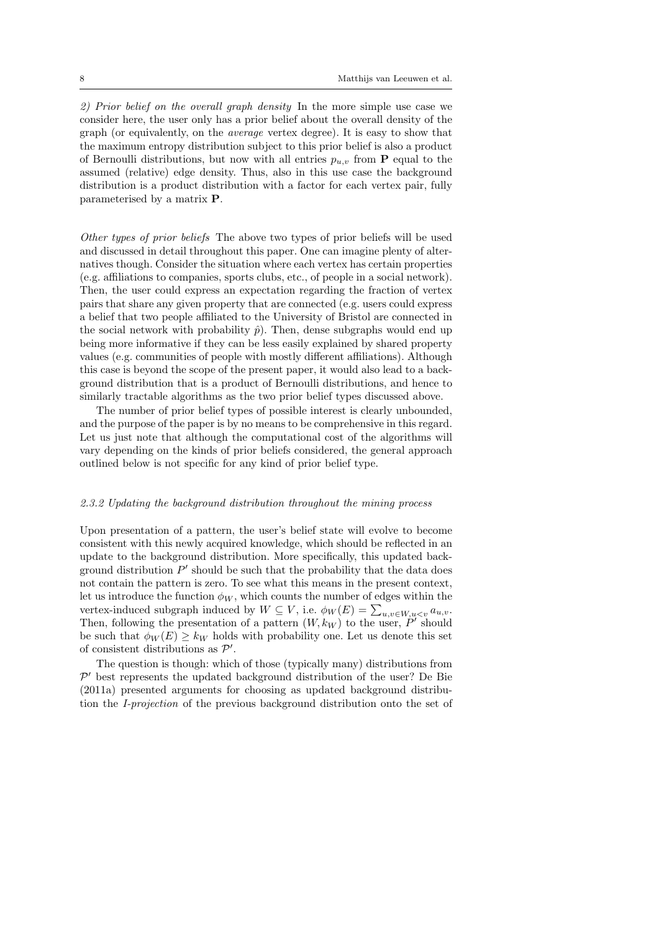2) Prior belief on the overall graph density In the more simple use case we consider here, the user only has a prior belief about the overall density of the graph (or equivalently, on the average vertex degree). It is easy to show that the maximum entropy distribution subject to this prior belief is also a product of Bernoulli distributions, but now with all entries  $p_{u,v}$  from **P** equal to the assumed (relative) edge density. Thus, also in this use case the background distribution is a product distribution with a factor for each vertex pair, fully parameterised by a matrix P.

Other types of prior beliefs The above two types of prior beliefs will be used and discussed in detail throughout this paper. One can imagine plenty of alternatives though. Consider the situation where each vertex has certain properties (e.g. affiliations to companies, sports clubs, etc., of people in a social network). Then, the user could express an expectation regarding the fraction of vertex pairs that share any given property that are connected (e.g. users could express a belief that two people affiliated to the University of Bristol are connected in the social network with probability  $\hat{p}$ ). Then, dense subgraphs would end up being more informative if they can be less easily explained by shared property values (e.g. communities of people with mostly different affiliations). Although this case is beyond the scope of the present paper, it would also lead to a background distribution that is a product of Bernoulli distributions, and hence to similarly tractable algorithms as the two prior belief types discussed above.

The number of prior belief types of possible interest is clearly unbounded, and the purpose of the paper is by no means to be comprehensive in this regard. Let us just note that although the computational cost of the algorithms will vary depending on the kinds of prior beliefs considered, the general approach outlined below is not specific for any kind of prior belief type.

## 2.3.2 Updating the background distribution throughout the mining process

Upon presentation of a pattern, the user's belief state will evolve to become consistent with this newly acquired knowledge, which should be reflected in an update to the background distribution. More specifically, this updated background distribution  $P'$  should be such that the probability that the data does not contain the pattern is zero. To see what this means in the present context, let us introduce the function  $\phi_W$ , which counts the number of edges within the vertex-induced subgraph induced by  $W \subseteq V$ , i.e.  $\phi_W(E) = \sum_{u,v \in W, u < v} a_{u,v}$ . Then, following the presentation of a pattern  $(W, k_W)$  to the user, P' should be such that  $\phi_W(E) \geq k_W$  holds with probability one. Let us denote this set of consistent distributions as  $\mathcal{P}'$ .

The question is though: which of those (typically many) distributions from  $\mathcal{P}'$  best represents the updated background distribution of the user? De Bie (2011a) presented arguments for choosing as updated background distribution the I-projection of the previous background distribution onto the set of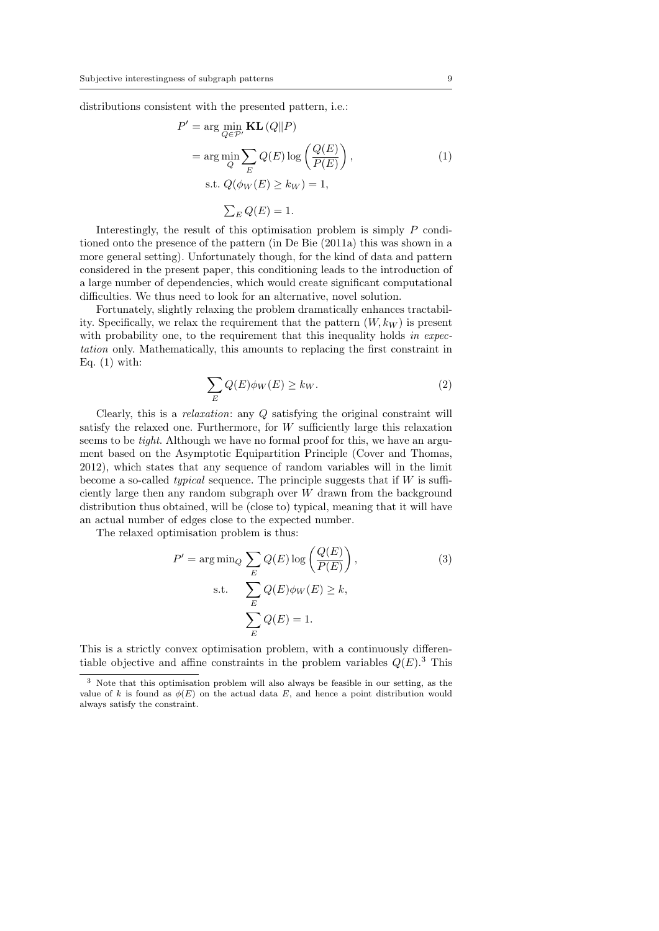distributions consistent with the presented pattern, i.e.:

$$
P' = \arg\min_{Q \in \mathcal{P'}} \mathbf{KL}(Q||P)
$$
  
= 
$$
\arg\min_{Q} \sum_{E} Q(E) \log \left(\frac{Q(E)}{P(E)}\right),
$$
  
s.t. 
$$
Q(\phi_W(E) \ge k_W) = 1,
$$
  

$$
\sum_{E} Q(E) = 1.
$$
 (1)

Interestingly, the result of this optimisation problem is simply  $P$  conditioned onto the presence of the pattern (in De Bie (2011a) this was shown in a more general setting). Unfortunately though, for the kind of data and pattern considered in the present paper, this conditioning leads to the introduction of a large number of dependencies, which would create significant computational difficulties. We thus need to look for an alternative, novel solution.

Fortunately, slightly relaxing the problem dramatically enhances tractability. Specifically, we relax the requirement that the pattern  $(W, k_W)$  is present with probability one, to the requirement that this inequality holds in expectation only. Mathematically, this amounts to replacing the first constraint in Eq.  $(1)$  with:

$$
\sum_{E} Q(E)\phi_W(E) \ge k_W.
$$
\n(2)

Clearly, this is a relaxation: any Q satisfying the original constraint will satisfy the relaxed one. Furthermore, for  $W$  sufficiently large this relaxation seems to be *tight*. Although we have no formal proof for this, we have an argument based on the Asymptotic Equipartition Principle (Cover and Thomas, 2012), which states that any sequence of random variables will in the limit become a so-called *typical* sequence. The principle suggests that if  $W$  is sufficiently large then any random subgraph over  $W$  drawn from the background distribution thus obtained, will be (close to) typical, meaning that it will have an actual number of edges close to the expected number.

The relaxed optimisation problem is thus:

$$
P' = \arg\min_{Q} \sum_{E} Q(E) \log \left(\frac{Q(E)}{P(E)}\right),
$$
  
s.t. 
$$
\sum_{E} Q(E) \phi_W(E) \ge k,
$$

$$
\sum_{E} Q(E) = 1.
$$
  
(3)

This is a strictly convex optimisation problem, with a continuously differentiable objective and affine constraints in the problem variables  $Q(E)$ .<sup>3</sup> This

<sup>3</sup> Note that this optimisation problem will also always be feasible in our setting, as the value of k is found as  $\phi(E)$  on the actual data E, and hence a point distribution would always satisfy the constraint.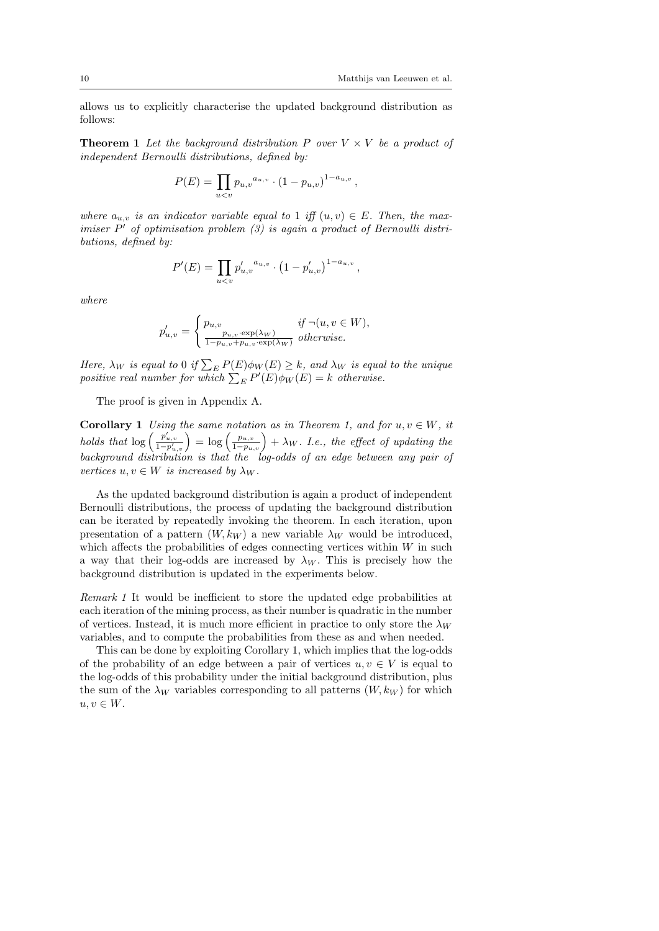allows us to explicitly characterise the updated background distribution as follows:

**Theorem 1** Let the background distribution P over  $V \times V$  be a product of independent Bernoulli distributions, defined by:

$$
P(E) = \prod_{u
$$

where  $a_{u,v}$  is an indicator variable equal to 1 iff  $(u, v) \in E$ . Then, the maximiser  $P'$  of optimisation problem (3) is again a product of Bernoulli distributions, defined by:

$$
P'(E) = \prod_{u
$$

where

$$
p'_{u,v} = \begin{cases} p_{u,v} & \text{if } \neg(u, v \in W), \\ \frac{p_{u,v} \cdot \exp(\lambda_W)}{1 - p_{u,v} + p_{u,v} \cdot \exp(\lambda_W)} & \text{otherwise.} \end{cases}
$$

Here,  $\lambda_W$  is equal to 0 if  $\sum_E P(E) \phi_W(E) \geq k$ , and  $\lambda_W$  is equal to the unique positive real number for which  $\sum_{E} P'(E) \phi_W(E) = k$  otherwise.

The proof is given in Appendix A.

**Corollary 1** Using the same notation as in Theorem 1, and for  $u, v \in W$ , it holds that  $\log\left(\frac{p'_{u,v}}{1-p'_{u,v}}\right) = \log\left(\frac{p_{u,v}}{1-p_{u,v}}\right) + \lambda_W$ . I.e., the effect of updating the background distribution is that the log-odds of an edge between any pair of vertices  $u, v \in W$  is increased by  $\lambda_W$ .

As the updated background distribution is again a product of independent Bernoulli distributions, the process of updating the background distribution can be iterated by repeatedly invoking the theorem. In each iteration, upon presentation of a pattern  $(W, k_W)$  a new variable  $\lambda_W$  would be introduced, which affects the probabilities of edges connecting vertices within  $W$  in such a way that their log-odds are increased by  $\lambda_W$ . This is precisely how the background distribution is updated in the experiments below.

Remark 1 It would be inefficient to store the updated edge probabilities at each iteration of the mining process, as their number is quadratic in the number of vertices. Instead, it is much more efficient in practice to only store the  $\lambda_W$ variables, and to compute the probabilities from these as and when needed.

This can be done by exploiting Corollary 1, which implies that the log-odds of the probability of an edge between a pair of vertices  $u, v \in V$  is equal to the log-odds of this probability under the initial background distribution, plus the sum of the  $\lambda_W$  variables corresponding to all patterns  $(W, k_W)$  for which  $u, v \in W$ .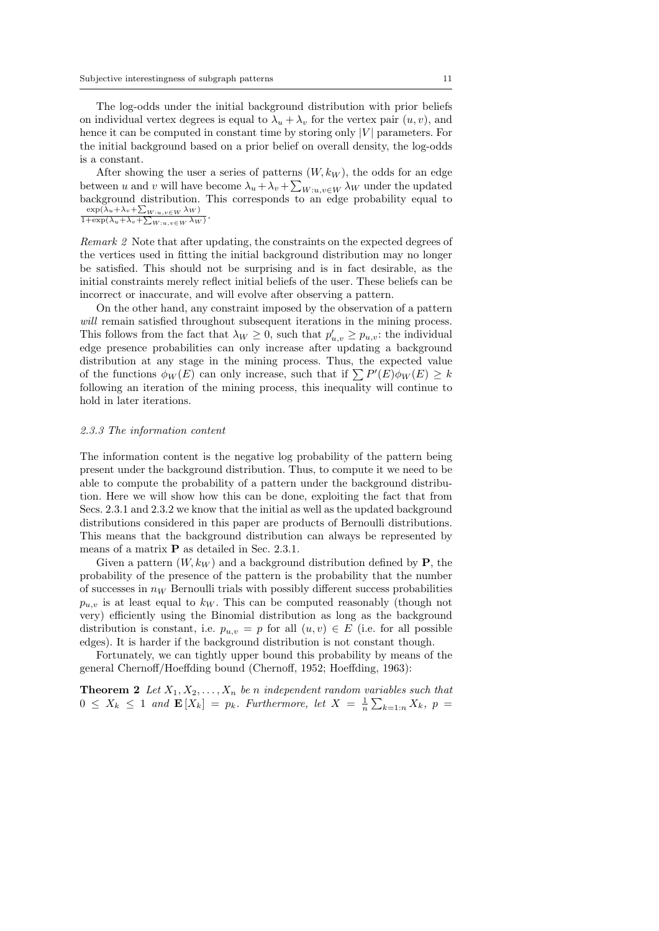The log-odds under the initial background distribution with prior beliefs on individual vertex degrees is equal to  $\lambda_u + \lambda_v$  for the vertex pair  $(u, v)$ , and hence it can be computed in constant time by storing only  $|V|$  parameters. For the initial background based on a prior belief on overall density, the log-odds is a constant.

After showing the user a series of patterns  $(W, k_W)$ , the odds for an edge between u and v will have become  $\lambda_u + \lambda_v + \sum_{W:u,v \in W} \lambda_W$  under the updated background distribution. This corresponds to an edge probability equal to  $\exp(\lambda_u + \lambda_v + \sum_{W} u, v \in W \lambda_W)$  $\frac{\exp(\lambda u + \lambda v + \sum_{W:u,v \in W} \lambda w)}{1 + \exp(\lambda u + \lambda v + \sum_{W:u,v \in W} \lambda w)}$ 

Remark 2 Note that after updating, the constraints on the expected degrees of the vertices used in fitting the initial background distribution may no longer be satisfied. This should not be surprising and is in fact desirable, as the initial constraints merely reflect initial beliefs of the user. These beliefs can be incorrect or inaccurate, and will evolve after observing a pattern.

On the other hand, any constraint imposed by the observation of a pattern will remain satisfied throughout subsequent iterations in the mining process. This follows from the fact that  $\lambda_W \geq 0$ , such that  $p'_{u,v} \geq p_{u,v}$ : the individual edge presence probabilities can only increase after updating a background distribution at any stage in the mining process. Thus, the expected value of the functions  $\phi_W(E)$  can only increase, such that if  $\sum P'(E)\phi_W(E) \geq k$ following an iteration of the mining process, this inequality will continue to hold in later iterations.

## 2.3.3 The information content

The information content is the negative log probability of the pattern being present under the background distribution. Thus, to compute it we need to be able to compute the probability of a pattern under the background distribution. Here we will show how this can be done, exploiting the fact that from Secs. 2.3.1 and 2.3.2 we know that the initial as well as the updated background distributions considered in this paper are products of Bernoulli distributions. This means that the background distribution can always be represented by means of a matrix P as detailed in Sec. 2.3.1.

Given a pattern  $(W, k_W)$  and a background distribution defined by **P**, the probability of the presence of the pattern is the probability that the number of successes in  $n_W$  Bernoulli trials with possibly different success probabilities  $p_{u,v}$  is at least equal to  $k_W$ . This can be computed reasonably (though not very) efficiently using the Binomial distribution as long as the background distribution is constant, i.e.  $p_{u,v} = p$  for all  $(u, v) \in E$  (i.e. for all possible edges). It is harder if the background distribution is not constant though.

Fortunately, we can tightly upper bound this probability by means of the general Chernoff/Hoeffding bound (Chernoff, 1952; Hoeffding, 1963):

**Theorem 2** Let  $X_1, X_2, \ldots, X_n$  be n independent random variables such that  $0 \leq X_k \leq 1$  and  $\mathbf{E}[X_k] = p_k$ . Furthermore, let  $X = \frac{1}{n} \sum_{k=1:n} X_k$ ,  $p =$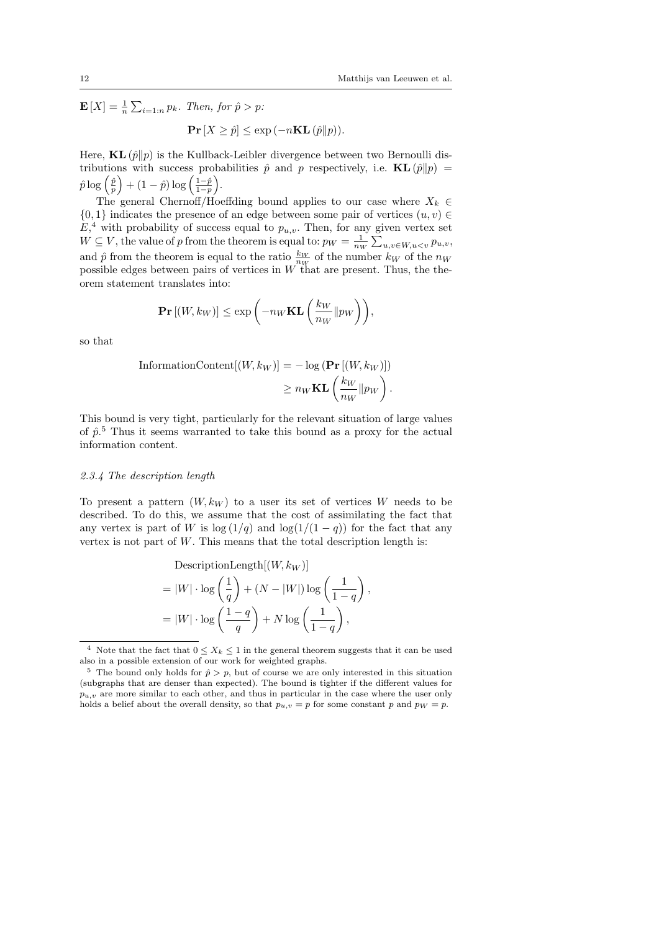$\mathbf{E}[X] = \frac{1}{n} \sum_{i=1:n} p_k$ . Then, for  $\hat{p} > p$ :

$$
\mathbf{Pr}\left[X \geq \hat{p}\right] \leq \exp\left(-n\mathbf{KL}\left(\hat{p}||p\right)\right).
$$

Here,  $KL(\hat{\rho}||p)$  is the Kullback-Leibler divergence between two Bernoulli distributions with success probabilities  $\hat{p}$  and p respectively, i.e. **KL** $(\hat{p}||p)$  =  $\hat{p}\log\left(\frac{\hat{p}}{p}\right) + (1-\hat{p})\log\left(\frac{1-\hat{p}}{1-p}\right).$ 

The general Chernoff/Hoeffding bound applies to our case where  $X_k \in$  $\{0, 1\}$  indicates the presence of an edge between some pair of vertices  $(u, v) \in$  $E<sup>4</sup>$  with probability of success equal to  $p_{u,v}$ . Then, for any given vertex set  $W \subseteq V$ , the value of p from the theorem is equal to:  $p_W = \frac{1}{n_W} \sum_{u,v \in W, u < v} p_{u,v}$ , and  $\hat{p}$  from the theorem is equal to the ratio  $\frac{k_W}{n_W}$  of the number  $k_W$  of the  $n_W$ possible edges between pairs of vertices in W that are present. Thus, the theorem statement translates into:

$$
\mathbf{Pr}\left[(W, k_W)\right] \le \exp\left(-n_W \mathbf{KL}\left(\frac{k_W}{n_W} \Vert p_W\right)\right),\,
$$

so that

InformationContent[(W, k<sub>W</sub>)] = 
$$
-\log (\mathbf{Pr}[(W, kW)])
$$
  
 $\geq nW \mathbf{KL} \left( \frac{kW}{nW} || pW \right).$ 

This bound is very tight, particularly for the relevant situation of large values of  $\hat{p}$ .<sup>5</sup> Thus it seems warranted to take this bound as a proxy for the actual information content.

### 2.3.4 The description length

To present a pattern  $(W, k_W)$  to a user its set of vertices W needs to be described. To do this, we assume that the cost of assimilating the fact that any vertex is part of W is  $\log(1/q)$  and  $\log(1/(1-q))$  for the fact that any vertex is not part of  $W$ . This means that the total description length is:

DescriptionLength[(W, kw)]  
= |W| · log 
$$
\left(\frac{1}{q}\right)
$$
 + (N - |W|) log  $\left(\frac{1}{1-q}\right)$ ,  
= |W| · log  $\left(\frac{1-q}{q}\right)$  + N log  $\left(\frac{1}{1-q}\right)$ ,

<sup>&</sup>lt;sup>4</sup> Note that the fact that  $0 \le X_k \le 1$  in the general theorem suggests that it can be used also in a possible extension of our work for weighted graphs.

<sup>&</sup>lt;sup>5</sup> The bound only holds for  $\hat{p} > p$ , but of course we are only interested in this situation (subgraphs that are denser than expected). The bound is tighter if the different values for  $p_{u,v}$  are more similar to each other, and thus in particular in the case where the user only holds a belief about the overall density, so that  $p_{u,v} = p$  for some constant p and  $p_W = p$ .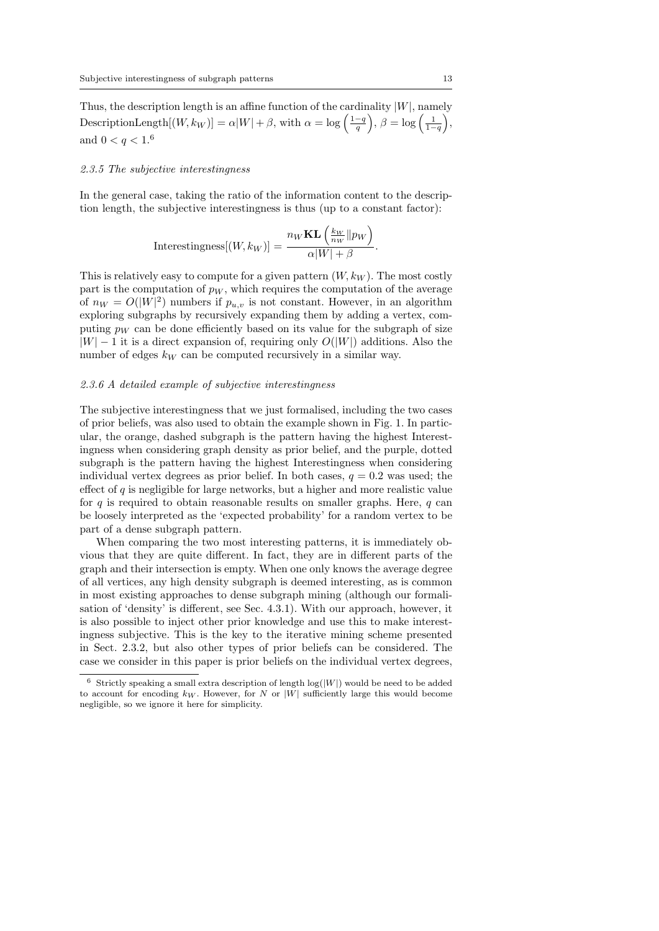Thus, the description length is an affine function of the cardinality  $|W|$ , namely DescriptionLength $[(W, k_W)] = \alpha |W| + \beta$ , with  $\alpha = \log \left( \frac{1-q}{q} \right)$ ,  $\beta = \log \left( \frac{1}{1-q} \right)$ , and  $0 < q < 1.6$ 

#### 2.3.5 The subjective interestingness

In the general case, taking the ratio of the information content to the description length, the subjective interestingness is thus (up to a constant factor):

$$
\text{Interestingness}[(W, k_W)] = \frac{n_W \mathbf{KL}\left(\frac{k_W}{n_W} || p_W\right)}{\alpha |W| + \beta}.
$$

This is relatively easy to compute for a given pattern  $(W, k_W)$ . The most costly part is the computation of  $p_W$ , which requires the computation of the average of  $n_W = O(|W|^2)$  numbers if  $p_{u,v}$  is not constant. However, in an algorithm exploring subgraphs by recursively expanding them by adding a vertex, computing  $p_W$  can be done efficiently based on its value for the subgraph of size  $|W| - 1$  it is a direct expansion of, requiring only  $O(|W|)$  additions. Also the number of edges  $k_W$  can be computed recursively in a similar way.

# 2.3.6 A detailed example of subjective interestingness

The subjective interestingness that we just formalised, including the two cases of prior beliefs, was also used to obtain the example shown in Fig. 1. In particular, the orange, dashed subgraph is the pattern having the highest Interestingness when considering graph density as prior belief, and the purple, dotted subgraph is the pattern having the highest Interestingness when considering individual vertex degrees as prior belief. In both cases,  $q = 0.2$  was used; the effect of  $q$  is negligible for large networks, but a higher and more realistic value for q is required to obtain reasonable results on smaller graphs. Here, q can be loosely interpreted as the 'expected probability' for a random vertex to be part of a dense subgraph pattern.

When comparing the two most interesting patterns, it is immediately obvious that they are quite different. In fact, they are in different parts of the graph and their intersection is empty. When one only knows the average degree of all vertices, any high density subgraph is deemed interesting, as is common in most existing approaches to dense subgraph mining (although our formalisation of 'density' is different, see Sec. 4.3.1). With our approach, however, it is also possible to inject other prior knowledge and use this to make interestingness subjective. This is the key to the iterative mining scheme presented in Sect. 2.3.2, but also other types of prior beliefs can be considered. The case we consider in this paper is prior beliefs on the individual vertex degrees,

 $6$  Strictly speaking a small extra description of length  $log(|W|)$  would be need to be added to account for encoding  $k_W$ . However, for N or  $|W|$  sufficiently large this would become negligible, so we ignore it here for simplicity.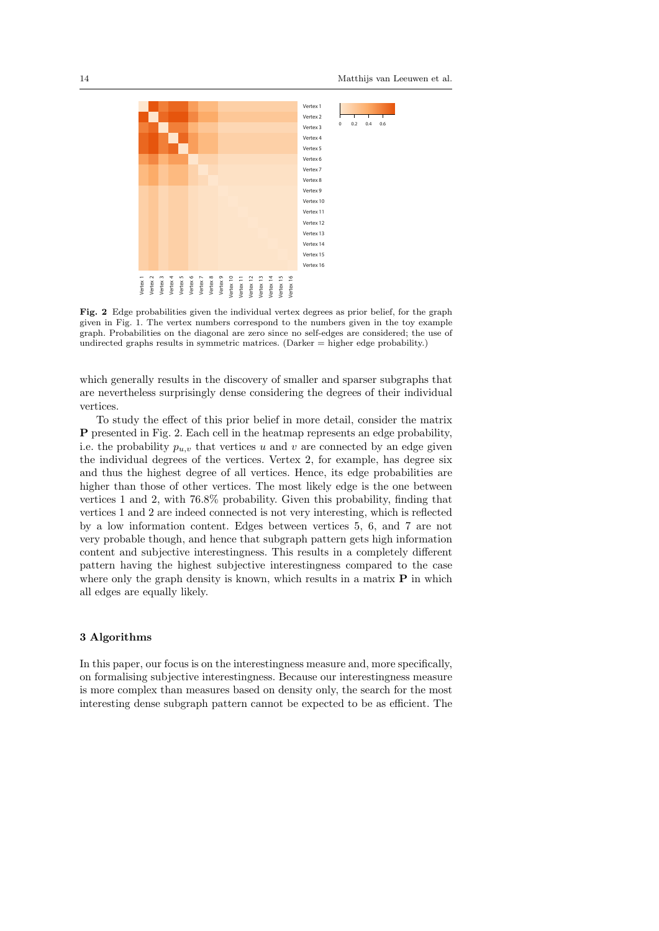0 0.2 0.4 0.6



Fig. 2 Edge probabilities given the individual vertex degrees as prior belief, for the graph given in Fig. 1. The vertex numbers correspond to the numbers given in the toy example graph. Probabilities on the diagonal are zero since no self-edges are considered; the use of undirected graphs results in symmetric matrices. (Darker = higher edge probability.)

which generally results in the discovery of smaller and sparser subgraphs that are nevertheless surprisingly dense considering the degrees of their individual vertices.

To study the effect of this prior belief in more detail, consider the matrix P presented in Fig. 2. Each cell in the heatmap represents an edge probability, i.e. the probability  $p_{u,v}$  that vertices u and v are connected by an edge given the individual degrees of the vertices. Vertex 2, for example, has degree six and thus the highest degree of all vertices. Hence, its edge probabilities are higher than those of other vertices. The most likely edge is the one between vertices 1 and 2, with 76.8% probability. Given this probability, finding that vertices 1 and 2 are indeed connected is not very interesting, which is reflected by a low information content. Edges between vertices 5, 6, and 7 are not very probable though, and hence that subgraph pattern gets high information content and subjective interestingness. This results in a completely different pattern having the highest subjective interestingness compared to the case where only the graph density is known, which results in a matrix  $P$  in which all edges are equally likely.

## 3 Algorithms

In this paper, our focus is on the interestingness measure and, more specifically, on formalising subjective interestingness. Because our interestingness measure is more complex than measures based on density only, the search for the most interesting dense subgraph pattern cannot be expected to be as efficient. The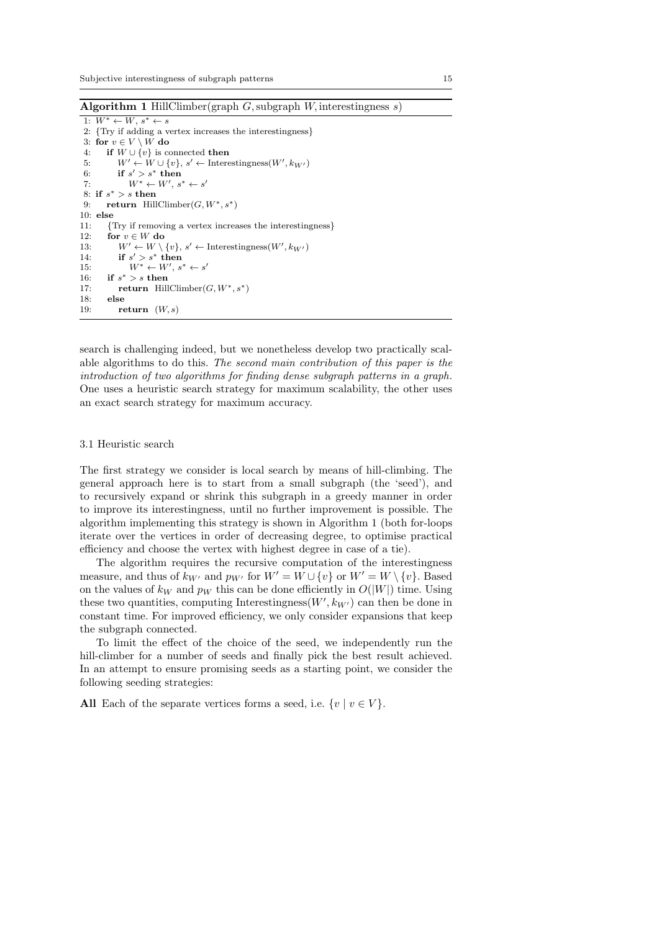**Algorithm 1** HillClimber(graph  $G$ , subgraph  $W$ , interestingness  $s$ )

1:  $W^*$  ←  $W, s^*$  ←  $s$ 2: {Try if adding a vertex increases the interestingness} 3: for  $v \in V \setminus W$  do 4: if  $W \cup \{v\}$  is connected then 5:  $W' \leftarrow W \cup \{v\}, s' \leftarrow \text{Interestingness}(W', k_{W'})$ 6: if  $s' > s^*$  then 7:  $W^* \leftarrow W', s^* \leftarrow s$  $\overline{a}$ 8: if  $s^* > s$  then 9: return HillClimber $(G, W^*, s^*)$  $10<sub>1</sub>$ else 11: {Try if removing a vertex increases the interestingness} 12: for  $v \in W$  do 13:  $W' \leftarrow W \setminus \{v\}, s' \leftarrow \text{Interestingness}(W', k_{W'})$ 14: if  $s' > s^*$  then 15:  $W^* \leftarrow W', s^* \leftarrow s'$ 16: if  $s^* > s$  then 17: return HillClimber $(G, W^*, s^*)$ 18: else 19: return  $(W, s)$ 

search is challenging indeed, but we nonetheless develop two practically scalable algorithms to do this. The second main contribution of this paper is the introduction of two algorithms for finding dense subgraph patterns in a graph. One uses a heuristic search strategy for maximum scalability, the other uses an exact search strategy for maximum accuracy.

### 3.1 Heuristic search

The first strategy we consider is local search by means of hill-climbing. The general approach here is to start from a small subgraph (the 'seed'), and to recursively expand or shrink this subgraph in a greedy manner in order to improve its interestingness, until no further improvement is possible. The algorithm implementing this strategy is shown in Algorithm 1 (both for-loops iterate over the vertices in order of decreasing degree, to optimise practical efficiency and choose the vertex with highest degree in case of a tie).

The algorithm requires the recursive computation of the interestingness measure, and thus of  $k_{W'}$  and  $p_{W'}$  for  $W' = W \cup \{v\}$  or  $W' = W \setminus \{v\}$ . Based on the values of  $k_W$  and  $p_W$  this can be done efficiently in  $O(|W|)$  time. Using these two quantities, computing Interestingness $(W', k_{W'})$  can then be done in constant time. For improved efficiency, we only consider expansions that keep the subgraph connected.

To limit the effect of the choice of the seed, we independently run the hill-climber for a number of seeds and finally pick the best result achieved. In an attempt to ensure promising seeds as a starting point, we consider the following seeding strategies:

All Each of the separate vertices forms a seed, i.e.  $\{v \mid v \in V\}$ .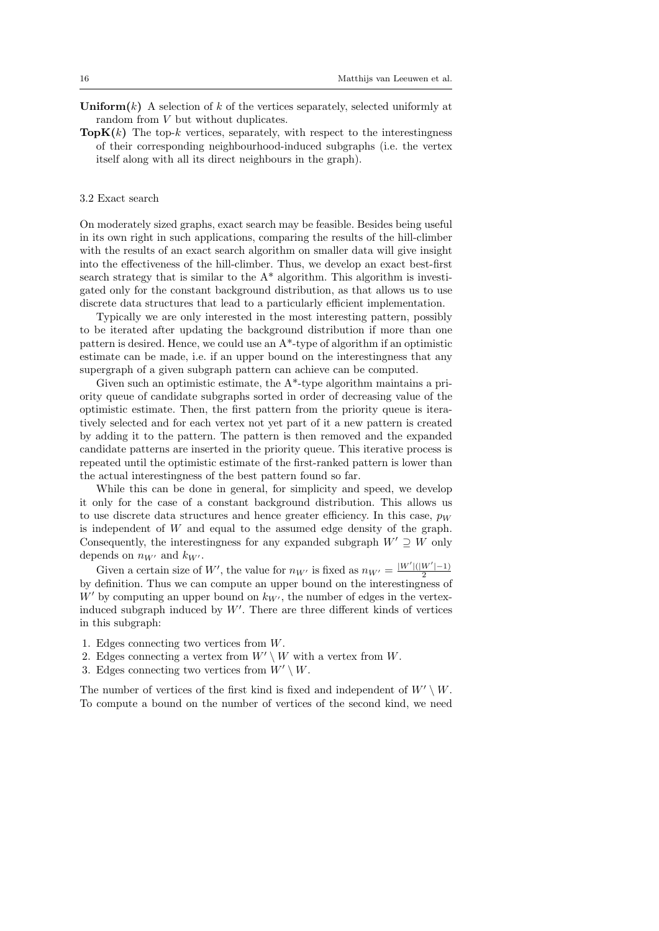Uniform $(k)$  A selection of k of the vertices separately, selected uniformly at random from V but without duplicates.

 $\text{TopK}(k)$  The top-k vertices, separately, with respect to the interestingness of their corresponding neighbourhood-induced subgraphs (i.e. the vertex itself along with all its direct neighbours in the graph).

### 3.2 Exact search

On moderately sized graphs, exact search may be feasible. Besides being useful in its own right in such applications, comparing the results of the hill-climber with the results of an exact search algorithm on smaller data will give insight into the effectiveness of the hill-climber. Thus, we develop an exact best-first search strategy that is similar to the  $A^*$  algorithm. This algorithm is investigated only for the constant background distribution, as that allows us to use discrete data structures that lead to a particularly efficient implementation.

Typically we are only interested in the most interesting pattern, possibly to be iterated after updating the background distribution if more than one pattern is desired. Hence, we could use an A\*-type of algorithm if an optimistic estimate can be made, i.e. if an upper bound on the interestingness that any supergraph of a given subgraph pattern can achieve can be computed.

Given such an optimistic estimate, the A\*-type algorithm maintains a priority queue of candidate subgraphs sorted in order of decreasing value of the optimistic estimate. Then, the first pattern from the priority queue is iteratively selected and for each vertex not yet part of it a new pattern is created by adding it to the pattern. The pattern is then removed and the expanded candidate patterns are inserted in the priority queue. This iterative process is repeated until the optimistic estimate of the first-ranked pattern is lower than the actual interestingness of the best pattern found so far.

While this can be done in general, for simplicity and speed, we develop it only for the case of a constant background distribution. This allows us to use discrete data structures and hence greater efficiency. In this case,  $p_W$ is independent of  $W$  and equal to the assumed edge density of the graph. Consequently, the interestingness for any expanded subgraph  $W' \supseteq W$  only depends on  $n_{W'}$  and  $k_{W'}$ .

Given a certain size of W', the value for  $n_{W'}$  is fixed as  $n_{W'} = \frac{|W'|(|W'|-1)}{2}$ 2 by definition. Thus we can compute an upper bound on the interestingness of  $W'$  by computing an upper bound on  $k_{W'}$ , the number of edges in the vertexinduced subgraph induced by  $W'$ . There are three different kinds of vertices in this subgraph:

- 1. Edges connecting two vertices from W.
- 2. Edges connecting a vertex from  $W' \setminus W$  with a vertex from W.
- 3. Edges connecting two vertices from  $W' \setminus W$ .

The number of vertices of the first kind is fixed and independent of  $W' \setminus W$ . To compute a bound on the number of vertices of the second kind, we need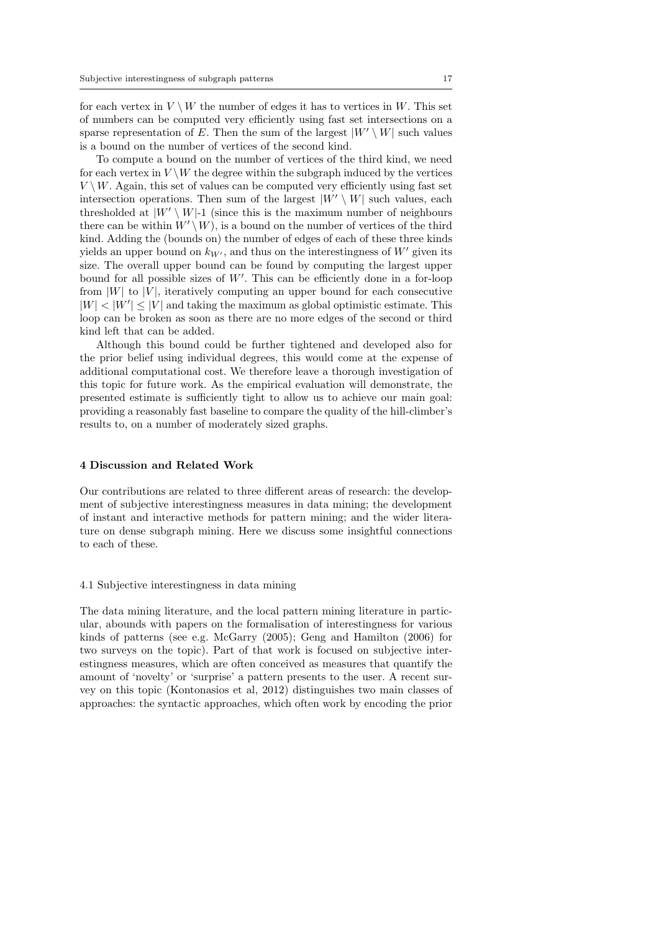for each vertex in  $V \setminus W$  the number of edges it has to vertices in W. This set of numbers can be computed very efficiently using fast set intersections on a sparse representation of E. Then the sum of the largest  $|W' \setminus W|$  such values is a bound on the number of vertices of the second kind.

To compute a bound on the number of vertices of the third kind, we need for each vertex in  $V \backslash W$  the degree within the subgraph induced by the vertices  $V \backslash W$ . Again, this set of values can be computed very efficiently using fast set intersection operations. Then sum of the largest  $|W' \setminus W|$  such values, each thresholded at  $|W' \setminus W|$ -1 (since this is the maximum number of neighbours there can be within  $W' \setminus W$ , is a bound on the number of vertices of the third kind. Adding the (bounds on) the number of edges of each of these three kinds yields an upper bound on  $k_{W'}$ , and thus on the interestingness of  $W'$  given its size. The overall upper bound can be found by computing the largest upper bound for all possible sizes of  $W'$ . This can be efficiently done in a for-loop from  $|W|$  to  $|V|$ , iteratively computing an upper bound for each consecutive  $|W| < |W'| \leq |V|$  and taking the maximum as global optimistic estimate. This loop can be broken as soon as there are no more edges of the second or third kind left that can be added.

Although this bound could be further tightened and developed also for the prior belief using individual degrees, this would come at the expense of additional computational cost. We therefore leave a thorough investigation of this topic for future work. As the empirical evaluation will demonstrate, the presented estimate is sufficiently tight to allow us to achieve our main goal: providing a reasonably fast baseline to compare the quality of the hill-climber's results to, on a number of moderately sized graphs.

### 4 Discussion and Related Work

Our contributions are related to three different areas of research: the development of subjective interestingness measures in data mining; the development of instant and interactive methods for pattern mining; and the wider literature on dense subgraph mining. Here we discuss some insightful connections to each of these.

## 4.1 Subjective interestingness in data mining

The data mining literature, and the local pattern mining literature in particular, abounds with papers on the formalisation of interestingness for various kinds of patterns (see e.g. McGarry (2005); Geng and Hamilton (2006) for two surveys on the topic). Part of that work is focused on subjective interestingness measures, which are often conceived as measures that quantify the amount of 'novelty' or 'surprise' a pattern presents to the user. A recent survey on this topic (Kontonasios et al, 2012) distinguishes two main classes of approaches: the syntactic approaches, which often work by encoding the prior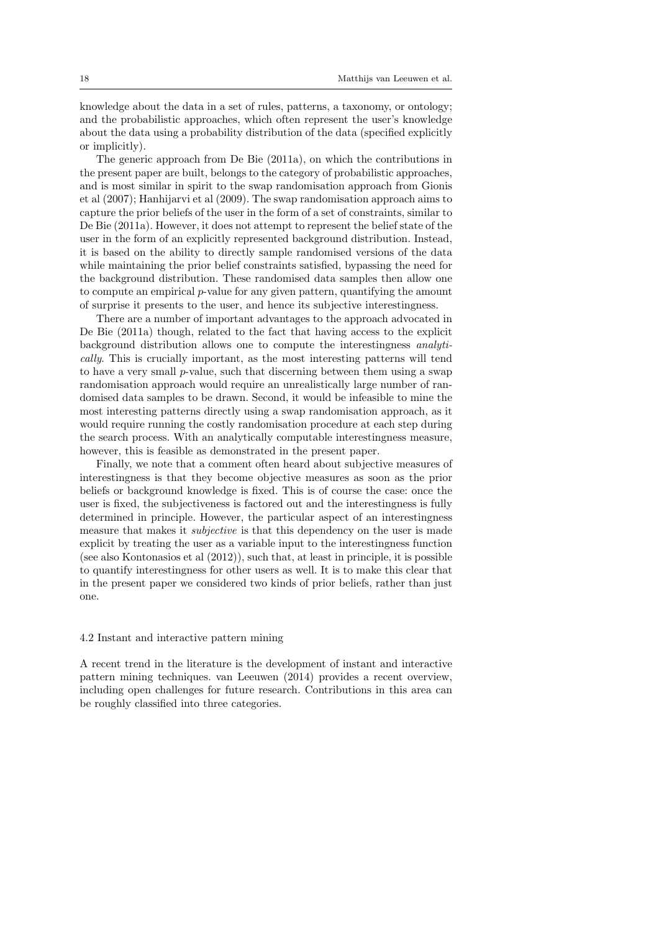knowledge about the data in a set of rules, patterns, a taxonomy, or ontology; and the probabilistic approaches, which often represent the user's knowledge about the data using a probability distribution of the data (specified explicitly or implicitly).

The generic approach from De Bie (2011a), on which the contributions in the present paper are built, belongs to the category of probabilistic approaches, and is most similar in spirit to the swap randomisation approach from Gionis et al (2007); Hanhijarvi et al (2009). The swap randomisation approach aims to capture the prior beliefs of the user in the form of a set of constraints, similar to De Bie (2011a). However, it does not attempt to represent the belief state of the user in the form of an explicitly represented background distribution. Instead, it is based on the ability to directly sample randomised versions of the data while maintaining the prior belief constraints satisfied, bypassing the need for the background distribution. These randomised data samples then allow one to compute an empirical  $p$ -value for any given pattern, quantifying the amount of surprise it presents to the user, and hence its subjective interestingness.

There are a number of important advantages to the approach advocated in De Bie (2011a) though, related to the fact that having access to the explicit background distribution allows one to compute the interestingness analytically. This is crucially important, as the most interesting patterns will tend to have a very small  $p$ -value, such that discerning between them using a swap randomisation approach would require an unrealistically large number of randomised data samples to be drawn. Second, it would be infeasible to mine the most interesting patterns directly using a swap randomisation approach, as it would require running the costly randomisation procedure at each step during the search process. With an analytically computable interestingness measure, however, this is feasible as demonstrated in the present paper.

Finally, we note that a comment often heard about subjective measures of interestingness is that they become objective measures as soon as the prior beliefs or background knowledge is fixed. This is of course the case: once the user is fixed, the subjectiveness is factored out and the interestingness is fully determined in principle. However, the particular aspect of an interestingness measure that makes it *subjective* is that this dependency on the user is made explicit by treating the user as a variable input to the interestingness function (see also Kontonasios et al (2012)), such that, at least in principle, it is possible to quantify interestingness for other users as well. It is to make this clear that in the present paper we considered two kinds of prior beliefs, rather than just one.

#### 4.2 Instant and interactive pattern mining

A recent trend in the literature is the development of instant and interactive pattern mining techniques. van Leeuwen (2014) provides a recent overview, including open challenges for future research. Contributions in this area can be roughly classified into three categories.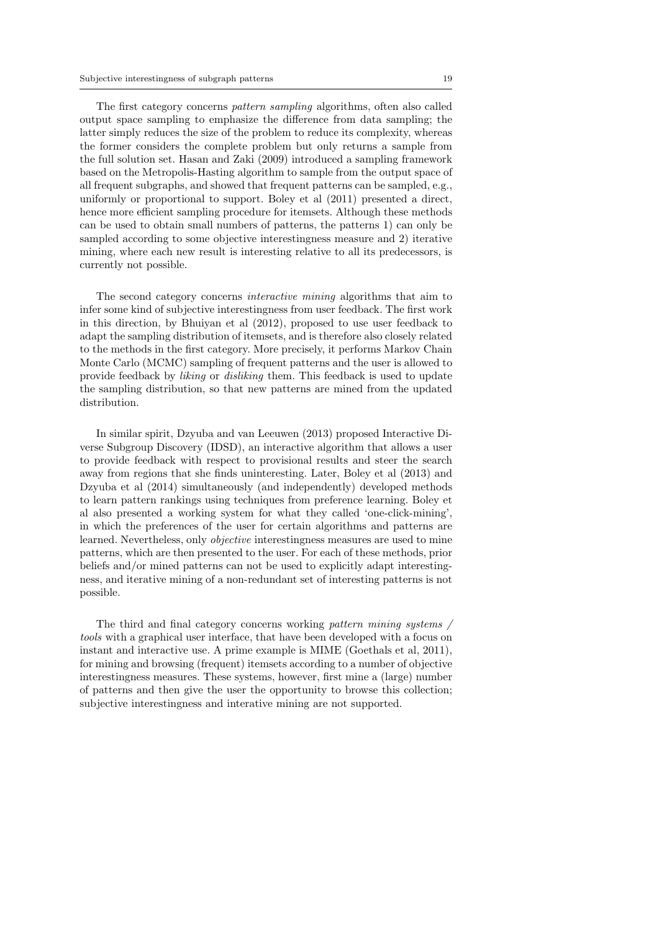The first category concerns pattern sampling algorithms, often also called output space sampling to emphasize the difference from data sampling; the latter simply reduces the size of the problem to reduce its complexity, whereas the former considers the complete problem but only returns a sample from the full solution set. Hasan and Zaki (2009) introduced a sampling framework based on the Metropolis-Hasting algorithm to sample from the output space of all frequent subgraphs, and showed that frequent patterns can be sampled, e.g., uniformly or proportional to support. Boley et al (2011) presented a direct, hence more efficient sampling procedure for itemsets. Although these methods can be used to obtain small numbers of patterns, the patterns 1) can only be sampled according to some objective interestingness measure and 2) iterative mining, where each new result is interesting relative to all its predecessors, is currently not possible.

The second category concerns interactive mining algorithms that aim to infer some kind of subjective interestingness from user feedback. The first work in this direction, by Bhuiyan et al (2012), proposed to use user feedback to adapt the sampling distribution of itemsets, and is therefore also closely related to the methods in the first category. More precisely, it performs Markov Chain Monte Carlo (MCMC) sampling of frequent patterns and the user is allowed to provide feedback by liking or disliking them. This feedback is used to update the sampling distribution, so that new patterns are mined from the updated distribution.

In similar spirit, Dzyuba and van Leeuwen (2013) proposed Interactive Diverse Subgroup Discovery (IDSD), an interactive algorithm that allows a user to provide feedback with respect to provisional results and steer the search away from regions that she finds uninteresting. Later, Boley et al (2013) and Dzyuba et al (2014) simultaneously (and independently) developed methods to learn pattern rankings using techniques from preference learning. Boley et al also presented a working system for what they called 'one-click-mining', in which the preferences of the user for certain algorithms and patterns are learned. Nevertheless, only objective interestingness measures are used to mine patterns, which are then presented to the user. For each of these methods, prior beliefs and/or mined patterns can not be used to explicitly adapt interestingness, and iterative mining of a non-redundant set of interesting patterns is not possible.

The third and final category concerns working pattern mining systems / tools with a graphical user interface, that have been developed with a focus on instant and interactive use. A prime example is MIME (Goethals et al, 2011), for mining and browsing (frequent) itemsets according to a number of objective interestingness measures. These systems, however, first mine a (large) number of patterns and then give the user the opportunity to browse this collection; subjective interestingness and interative mining are not supported.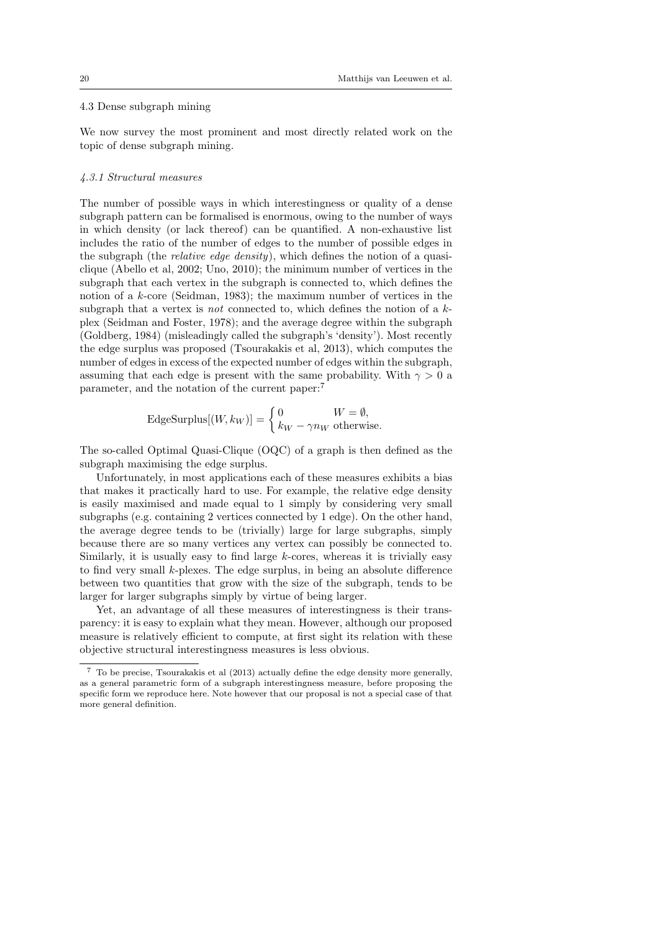### 4.3 Dense subgraph mining

We now survey the most prominent and most directly related work on the topic of dense subgraph mining.

### 4.3.1 Structural measures

The number of possible ways in which interestingness or quality of a dense subgraph pattern can be formalised is enormous, owing to the number of ways in which density (or lack thereof) can be quantified. A non-exhaustive list includes the ratio of the number of edges to the number of possible edges in the subgraph (the relative edge density), which defines the notion of a quasiclique (Abello et al, 2002; Uno, 2010); the minimum number of vertices in the subgraph that each vertex in the subgraph is connected to, which defines the notion of a k-core (Seidman, 1983); the maximum number of vertices in the subgraph that a vertex is *not* connected to, which defines the notion of a  $k$ plex (Seidman and Foster, 1978); and the average degree within the subgraph (Goldberg, 1984) (misleadingly called the subgraph's 'density'). Most recently the edge surplus was proposed (Tsourakakis et al, 2013), which computes the number of edges in excess of the expected number of edges within the subgraph, assuming that each edge is present with the same probability. With  $\gamma > 0$  a parameter, and the notation of the current paper:<sup>7</sup>

EdgeSurplus
$$
[(W, k_W)] = \begin{cases} 0 & W = \emptyset, \\ k_W - \gamma n_W \text{ otherwise.} \end{cases}
$$

The so-called Optimal Quasi-Clique (OQC) of a graph is then defined as the subgraph maximising the edge surplus.

Unfortunately, in most applications each of these measures exhibits a bias that makes it practically hard to use. For example, the relative edge density is easily maximised and made equal to 1 simply by considering very small subgraphs (e.g. containing 2 vertices connected by 1 edge). On the other hand, the average degree tends to be (trivially) large for large subgraphs, simply because there are so many vertices any vertex can possibly be connected to. Similarly, it is usually easy to find large  $k$ -cores, whereas it is trivially easy to find very small k-plexes. The edge surplus, in being an absolute difference between two quantities that grow with the size of the subgraph, tends to be larger for larger subgraphs simply by virtue of being larger.

Yet, an advantage of all these measures of interestingness is their transparency: it is easy to explain what they mean. However, although our proposed measure is relatively efficient to compute, at first sight its relation with these objective structural interestingness measures is less obvious.

<sup>7</sup> To be precise, Tsourakakis et al (2013) actually define the edge density more generally, as a general parametric form of a subgraph interestingness measure, before proposing the specific form we reproduce here. Note however that our proposal is not a special case of that more general definition.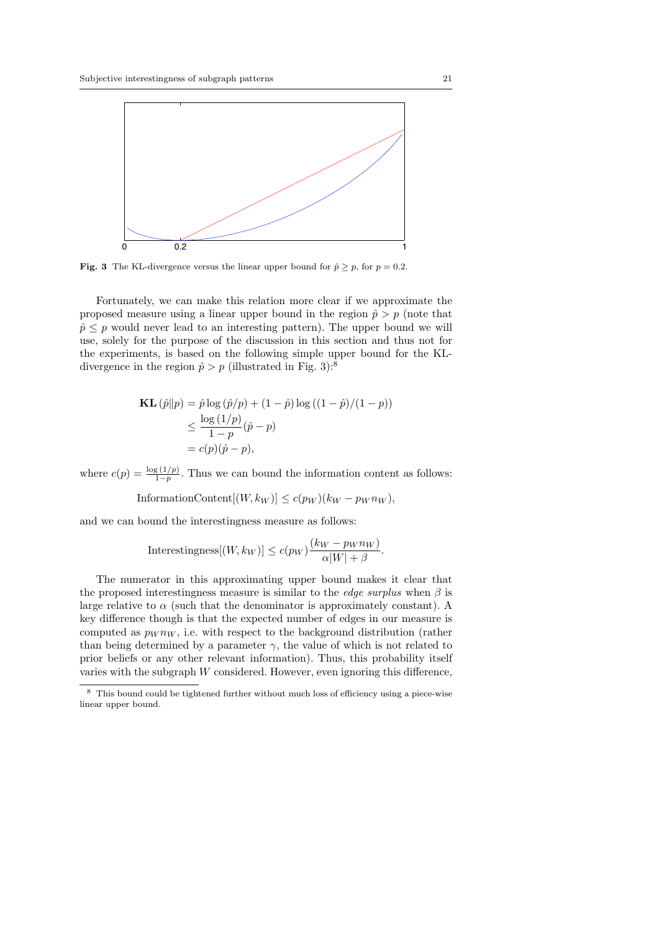

**Fig. 3** The KL-divergence versus the linear upper bound for  $\hat{p} \geq p$ , for  $p = 0.2$ .

Fortunately, we can make this relation more clear if we approximate the proposed measure using a linear upper bound in the region  $\hat{p} > p$  (note that  $\hat{p} \leq p$  would never lead to an interesting pattern). The upper bound we will use, solely for the purpose of the discussion in this section and thus not for the experiments, is based on the following simple upper bound for the KLdivergence in the region  $\hat{p} > p$  (illustrated in Fig. 3):<sup>8</sup>

KL 
$$
(\hat{p}||p) = \hat{p} \log (\hat{p}/p) + (1 - \hat{p}) \log ((1 - \hat{p})/(1 - p))
$$
  
\n $\leq \frac{\log (1/p)}{1 - p} (\hat{p} - p)$   
\n $= c(p)(\hat{p} - p),$ 

where  $c(p) = \frac{\log(1/p)}{1-p}$ . Thus we can bound the information content as follows:

InformationContent $[(W, k_W)] \leq c(p_W)(k_W - p_W n_W),$ 

and we can bound the interestingness measure as follows:

Interestingness
$$
[(W, k_W)] \le c(p_W) \frac{(k_W - p_W n_W)}{\alpha |W| + \beta}.
$$

The numerator in this approximating upper bound makes it clear that the proposed interestingness measure is similar to the *edge surplus* when  $\beta$  is large relative to  $\alpha$  (such that the denominator is approximately constant). A key difference though is that the expected number of edges in our measure is computed as  $p_W n_W$ , i.e. with respect to the background distribution (rather than being determined by a parameter  $\gamma$ , the value of which is not related to prior beliefs or any other relevant information). Thus, this probability itself varies with the subgraph W considered. However, even ignoring this difference,

<sup>8</sup> This bound could be tightened further without much loss of efficiency using a piece-wise linear upper bound.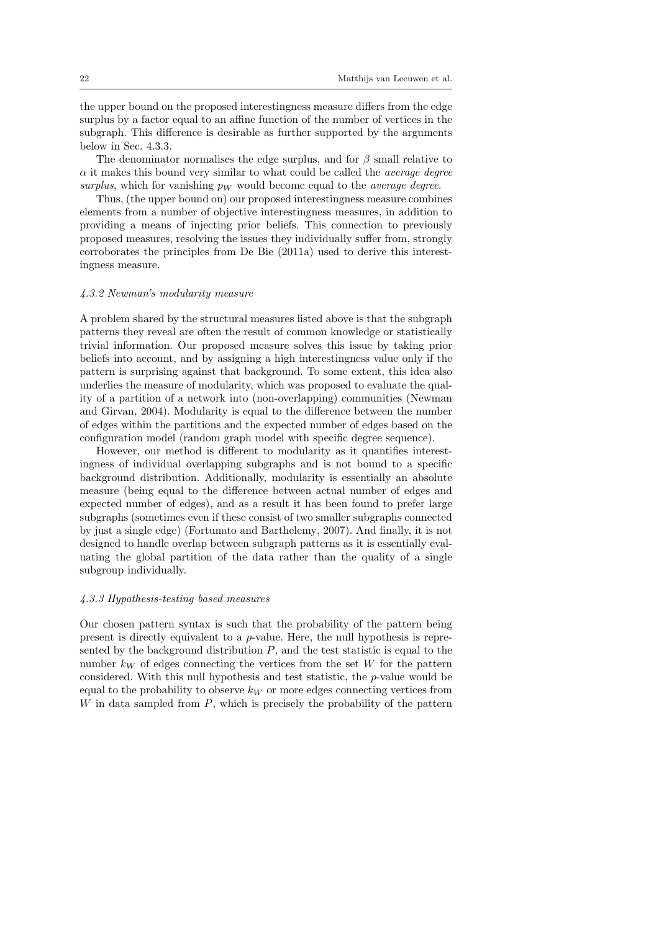the upper bound on the proposed interestingness measure differs from the edge surplus by a factor equal to an affine function of the number of vertices in the subgraph. This difference is desirable as further supported by the arguments below in Sec. 4.3.3.

The denominator normalises the edge surplus, and for  $\beta$  small relative to  $\alpha$  it makes this bound very similar to what could be called the *average degree* surplus, which for vanishing  $p_W$  would become equal to the *average degree*.

Thus, (the upper bound on) our proposed interestingness measure combines elements from a number of objective interestingness measures, in addition to providing a means of injecting prior beliefs. This connection to previously proposed measures, resolving the issues they individually suffer from, strongly corroborates the principles from De Bie (2011a) used to derive this interestingness measure.

#### 4.3.2 Newman's modularity measure

A problem shared by the structural measures listed above is that the subgraph patterns they reveal are often the result of common knowledge or statistically trivial information. Our proposed measure solves this issue by taking prior beliefs into account, and by assigning a high interestingness value only if the pattern is surprising against that background. To some extent, this idea also underlies the measure of modularity, which was proposed to evaluate the quality of a partition of a network into (non-overlapping) communities (Newman and Girvan, 2004). Modularity is equal to the difference between the number of edges within the partitions and the expected number of edges based on the configuration model (random graph model with specific degree sequence).

However, our method is different to modularity as it quantifies interestingness of individual overlapping subgraphs and is not bound to a specific background distribution. Additionally, modularity is essentially an absolute measure (being equal to the difference between actual number of edges and expected number of edges), and as a result it has been found to prefer large subgraphs (sometimes even if these consist of two smaller subgraphs connected by just a single edge) (Fortunato and Barthelemy, 2007). And finally, it is not designed to handle overlap between subgraph patterns as it is essentially evaluating the global partition of the data rather than the quality of a single subgroup individually.

## 4.3.3 Hypothesis-testing based measures

Our chosen pattern syntax is such that the probability of the pattern being present is directly equivalent to a p-value. Here, the null hypothesis is represented by the background distribution  $P$ , and the test statistic is equal to the number  $k_W$  of edges connecting the vertices from the set W for the pattern considered. With this null hypothesis and test statistic, the p-value would be equal to the probability to observe  $k_W$  or more edges connecting vertices from W in data sampled from P, which is precisely the probability of the pattern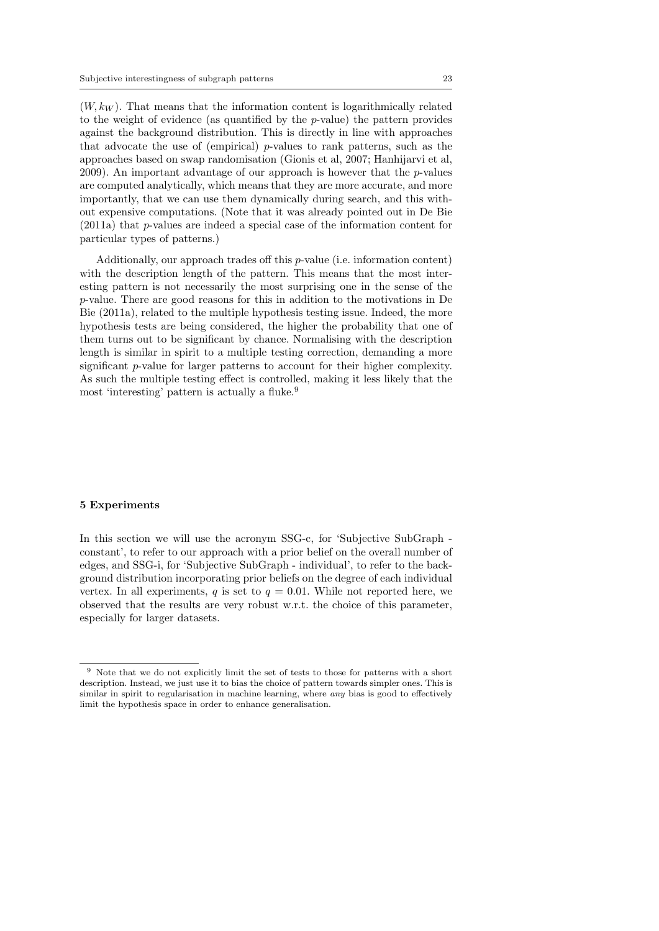$(W, k_W)$ . That means that the information content is logarithmically related to the weight of evidence (as quantified by the  $p$ -value) the pattern provides against the background distribution. This is directly in line with approaches that advocate the use of (empirical) p-values to rank patterns, such as the approaches based on swap randomisation (Gionis et al, 2007; Hanhijarvi et al, 2009). An important advantage of our approach is however that the p-values are computed analytically, which means that they are more accurate, and more importantly, that we can use them dynamically during search, and this without expensive computations. (Note that it was already pointed out in De Bie (2011a) that p-values are indeed a special case of the information content for particular types of patterns.)

Additionally, our approach trades off this p-value (i.e. information content) with the description length of the pattern. This means that the most interesting pattern is not necessarily the most surprising one in the sense of the p-value. There are good reasons for this in addition to the motivations in De Bie (2011a), related to the multiple hypothesis testing issue. Indeed, the more hypothesis tests are being considered, the higher the probability that one of them turns out to be significant by chance. Normalising with the description length is similar in spirit to a multiple testing correction, demanding a more significant  $p$ -value for larger patterns to account for their higher complexity. As such the multiple testing effect is controlled, making it less likely that the most 'interesting' pattern is actually a fluke.<sup>9</sup>

### 5 Experiments

In this section we will use the acronym SSG-c, for 'Subjective SubGraph constant', to refer to our approach with a prior belief on the overall number of edges, and SSG-i, for 'Subjective SubGraph - individual', to refer to the background distribution incorporating prior beliefs on the degree of each individual vertex. In all experiments, q is set to  $q = 0.01$ . While not reported here, we observed that the results are very robust w.r.t. the choice of this parameter, especially for larger datasets.

 $9$  Note that we do not explicitly limit the set of tests to those for patterns with a short description. Instead, we just use it to bias the choice of pattern towards simpler ones. This is similar in spirit to regularisation in machine learning, where *any* bias is good to effectively limit the hypothesis space in order to enhance generalisation.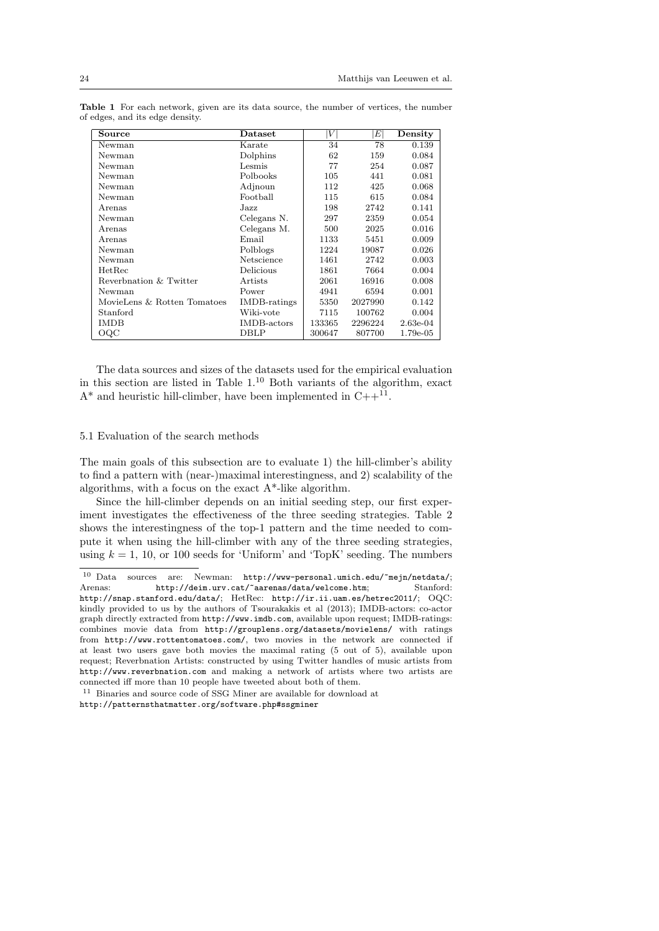| Source                      | Dataset             | $\left  V \right $ | $E\vert$ | Density    |
|-----------------------------|---------------------|--------------------|----------|------------|
| Newman                      | Karate              | 34                 | 78       | 0.139      |
| Newman                      | Dolphins            | 62                 | 159      | 0.084      |
| Newman                      | Lesmis              | 77                 | 254      | 0.087      |
| Newman                      | Polbooks            | 105                | 441      | 0.081      |
| Newman                      | Adjnoun             | 112                | 425      | 0.068      |
| Newman                      | Football            | 115                | 615      | 0.084      |
| Arenas                      | Jazz                | 198                | 2742     | 0.141      |
| Newman                      | Celegans N.         | 297                | 2359     | 0.054      |
| Arenas                      | Celegans M.         | 500                | 2025     | 0.016      |
| Arenas                      | Email               | 1133               | 5451     | 0.009      |
| Newman                      | Polblogs            | 1224               | 19087    | 0.026      |
| Newman                      | Netscience          | 1461               | 2742     | 0.003      |
| HetRec                      | Delicious           | 1861               | 7664     | 0.004      |
| Reverbnation & Twitter      | Artists             | 2061               | 16916    | 0.008      |
| Newman                      | Power               | 4941               | 6594     | 0.001      |
| MovieLens & Rotten Tomatoes | <b>IMDB-ratings</b> | 5350               | 2027990  | 0.142      |
| Stanford                    | Wiki-vote           | 7115               | 100762   | 0.004      |
| <b>IMDB</b>                 | IMDB-actors         | 133365             | 2296224  | $2.63e-04$ |
| OQC                         | DBLP                | 300647             | 807700   | 1.79e-05   |

Table 1 For each network, given are its data source, the number of vertices, the number of edges, and its edge density.

The data sources and sizes of the datasets used for the empirical evaluation in this section are listed in Table  $1<sup>10</sup>$  Both variants of the algorithm, exact  $A^*$  and heuristic hill-climber, have been implemented in  $C_{++}^{11}$ .

### 5.1 Evaluation of the search methods

The main goals of this subsection are to evaluate 1) the hill-climber's ability to find a pattern with (near-)maximal interestingness, and 2) scalability of the algorithms, with a focus on the exact A\*-like algorithm.

Since the hill-climber depends on an initial seeding step, our first experiment investigates the effectiveness of the three seeding strategies. Table 2 shows the interestingness of the top-1 pattern and the time needed to compute it when using the hill-climber with any of the three seeding strategies, using  $k = 1, 10$ , or 100 seeds for 'Uniform' and 'TopK' seeding. The numbers

<sup>11</sup> Binaries and source code of SSG Miner are available for download at

<sup>10</sup> Data sources are: Newman: http://www-personal.umich.edu/~mejn/netdata/; http://deim.urv.cat/~aarenas/data/welcome.htm; Stanford:

http://snap.stanford.edu/data/; HetRec: http://ir.ii.uam.es/hetrec2011/; OQC: kindly provided to us by the authors of Tsourakakis et al (2013); IMDB-actors: co-actor graph directly extracted from http://www.imdb.com, available upon request; IMDB-ratings: combines movie data from http://grouplens.org/datasets/movielens/ with ratings from http://www.rottentomatoes.com/, two movies in the network are connected if at least two users gave both movies the maximal rating (5 out of 5), available upon request; Reverbnation Artists: constructed by using Twitter handles of music artists from http://www.reverbnation.com and making a network of artists where two artists are connected iff more than 10 people have tweeted about both of them.

http://patternsthatmatter.org/software.php#ssgminer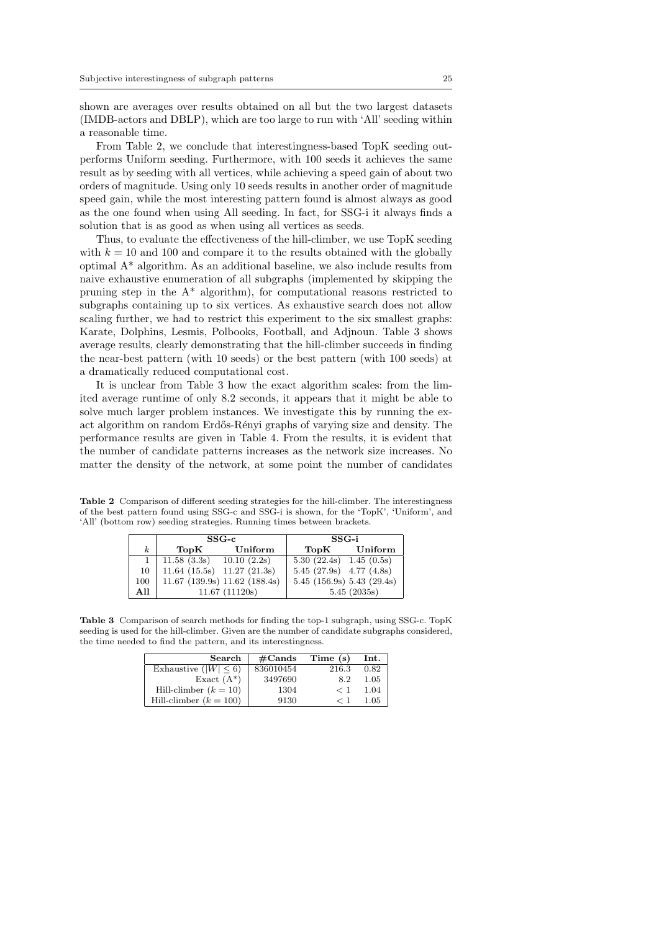shown are averages over results obtained on all but the two largest datasets (IMDB-actors and DBLP), which are too large to run with 'All' seeding within a reasonable time.

From Table 2, we conclude that interestingness-based TopK seeding outperforms Uniform seeding. Furthermore, with 100 seeds it achieves the same result as by seeding with all vertices, while achieving a speed gain of about two orders of magnitude. Using only 10 seeds results in another order of magnitude speed gain, while the most interesting pattern found is almost always as good as the one found when using All seeding. In fact, for SSG-i it always finds a solution that is as good as when using all vertices as seeds.

Thus, to evaluate the effectiveness of the hill-climber, we use TopK seeding with  $k = 10$  and 100 and compare it to the results obtained with the globally optimal A\* algorithm. As an additional baseline, we also include results from naive exhaustive enumeration of all subgraphs (implemented by skipping the pruning step in the A\* algorithm), for computational reasons restricted to subgraphs containing up to six vertices. As exhaustive search does not allow scaling further, we had to restrict this experiment to the six smallest graphs: Karate, Dolphins, Lesmis, Polbooks, Football, and Adjnoun. Table 3 shows average results, clearly demonstrating that the hill-climber succeeds in finding the near-best pattern (with 10 seeds) or the best pattern (with 100 seeds) at a dramatically reduced computational cost.

It is unclear from Table 3 how the exact algorithm scales: from the limited average runtime of only 8.2 seconds, it appears that it might be able to solve much larger problem instances. We investigate this by running the exact algorithm on random Erdős-Rényi graphs of varying size and density. The performance results are given in Table 4. From the results, it is evident that the number of candidate patterns increases as the network size increases. No matter the density of the network, at some point the number of candidates

Table 2 Comparison of different seeding strategies for the hill-climber. The interestingness of the best pattern found using SSG-c and SSG-i is shown, for the 'TopK', 'Uniform', and 'All' (bottom row) seeding strategies. Running times between brackets.

|              |                                     | $SSG-c$                           | SSG-i                          |                         |  |  |
|--------------|-------------------------------------|-----------------------------------|--------------------------------|-------------------------|--|--|
| $\mathbf{k}$ | $\operatorname{TopK}$               | $\bm{\mathrm{Uniform}}$           | TopK                           | $\bm{\mathrm{Uniform}}$ |  |  |
|              | $11.58(3.3s)$ $10.10(2.2s)$         |                                   | $5.30(22.4s)$ 1.45 $(0.5s)$    |                         |  |  |
| 10           | $11.64$ $(15.5s)$ $11.27$ $(21.3s)$ |                                   | $5.45(27.9s)$ $4.77(4.8s)$     |                         |  |  |
| 100          |                                     | $11.67$ (139.9s) $11.62$ (188.4s) | $5.45$ (156.9s) $5.43$ (29.4s) |                         |  |  |
| All          |                                     | 11.67(11120s)                     | 5.45(2035s)                    |                         |  |  |

Table 3 Comparison of search methods for finding the top-1 subgraph, using SSG-c. TopK seeding is used for the hill-climber. Given are the number of candidate subgraphs considered, the time needed to find the pattern, and its interestingness.

| Search                    | $\#\mathrm{Cands}$ | Time $(s)$ | Int. |
|---------------------------|--------------------|------------|------|
| Exhaustive $( W  \leq 6)$ | 836010454          | 216.3      | 0.82 |
| Exact $(A^*)$             | 3497690            | 8.2        | 1.05 |
| Hill-climber $(k = 10)$   | 1304               | $\leq 1$   | 1.04 |
| Hill-climber $(k = 100)$  | 9130               | < 1        | 1.05 |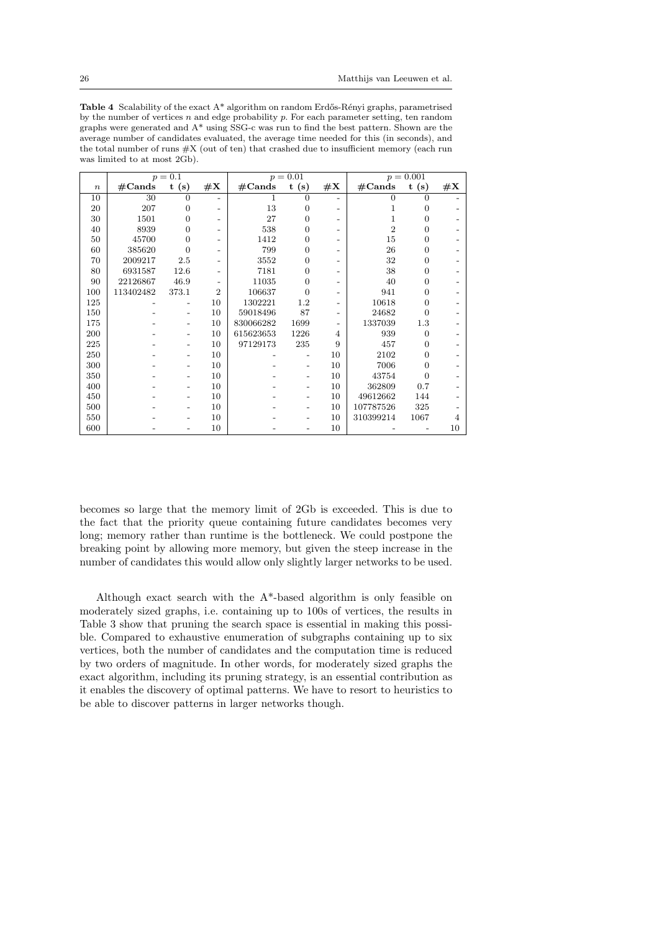Table 4 Scalability of the exact A\* algorithm on random Erdős-Rényi graphs, parametrised by the number of vertices  $n$  and edge probability  $p$ . For each parameter setting, ten random graphs were generated and A\* using SSG-c was run to find the best pattern. Shown are the average number of candidates evaluated, the average time needed for this (in seconds), and the total number of runs #X (out of ten) that crashed due to insufficient memory (each run was limited to at most 2Gb).

|                  |                  | $p = 0.1$         |                |                  | $p = 0.01$     |                          |                    | $p = 0.001$    |                |
|------------------|------------------|-------------------|----------------|------------------|----------------|--------------------------|--------------------|----------------|----------------|
| $\boldsymbol{n}$ | $\#\text{Cands}$ | t(s)              | $\#\mathbf{X}$ | $\#\text{Cands}$ | t(s)           | $\#\mathbf{X}$           | $\#\mathrm{Cands}$ | t(s)           | $\#\mathbf{X}$ |
| 10               | 30               | $\Omega$          | -              | 1                | $\overline{0}$ | -                        | $\Omega$           | $\Omega$       |                |
| 20               | 207              | $\Omega$          |                | 13               | $\overline{0}$ | $\overline{\phantom{0}}$ |                    | $\Omega$       |                |
| 30               | 1501             | 0                 |                | 27               | $\overline{0}$ |                          |                    | 0              |                |
| 40               | 8939             | 0                 |                | 538              | $\overline{0}$ |                          | $\overline{2}$     | 0              |                |
| 50               | 45700            | 0                 |                | 1412             | $\overline{0}$ |                          | 15                 | 0              |                |
| 60               | 385620           | $\Omega$          |                | 799              | $\overline{0}$ |                          | 26                 | $\Omega$       |                |
| 70               | 2009217          | 2.5               |                | 3552             | $\overline{0}$ |                          | 32                 | $\Omega$       |                |
| 80               | 6931587          | 12.6              |                | 7181             | $\overline{0}$ |                          | 38                 | $\overline{0}$ |                |
| 90               | 22126867         | 46.9              |                | 11035            | $\overline{0}$ | $\overline{a}$           | 40                 | 0              |                |
| 100              | 113402482        | 373.1             | $\overline{2}$ | 106637           | $\overline{0}$ | $\overline{\phantom{0}}$ | 941                | $\Omega$       |                |
| 125              |                  |                   | 10             | 1302221          | 1.2            |                          | 10618              | 0              |                |
| 150              |                  | $\qquad \qquad -$ | 10             | 59018496         | 87             | $\overline{\phantom{a}}$ | 24682              | 0              |                |
| 175              |                  |                   | 10             | 830066282        | 1699           | -                        | 1337039            | 1.3            |                |
| 200              |                  |                   | 10             | 615623653        | 1226           | 4                        | 939                | $\Omega$       |                |
| 225              |                  |                   | 10             | 97129173         | 235            | 9                        | 457                | $\Omega$       |                |
| 250              |                  |                   | 10             |                  |                | 10                       | 2102               | 0              |                |
| 300              |                  |                   | 10             |                  |                | 10                       | 7006               | $\Omega$       |                |
| 350              |                  |                   | 10             |                  |                | 10                       | 43754              | 0              |                |
| 400              |                  |                   | 10             |                  |                | 10                       | 362809             | 0.7            |                |
| 450              |                  |                   | 10             |                  |                | 10                       | 49612662           | 144            |                |
| 500              |                  |                   | 10             |                  |                | 10                       | 107787526          | 325            |                |
| 550              |                  |                   | 10             |                  |                | 10                       | 310399214          | 1067           | 4              |
| 600              |                  |                   | 10             |                  |                | 10                       |                    |                | 10             |

becomes so large that the memory limit of 2Gb is exceeded. This is due to the fact that the priority queue containing future candidates becomes very long; memory rather than runtime is the bottleneck. We could postpone the breaking point by allowing more memory, but given the steep increase in the number of candidates this would allow only slightly larger networks to be used.

Although exact search with the A\*-based algorithm is only feasible on moderately sized graphs, i.e. containing up to 100s of vertices, the results in Table 3 show that pruning the search space is essential in making this possible. Compared to exhaustive enumeration of subgraphs containing up to six vertices, both the number of candidates and the computation time is reduced by two orders of magnitude. In other words, for moderately sized graphs the exact algorithm, including its pruning strategy, is an essential contribution as it enables the discovery of optimal patterns. We have to resort to heuristics to be able to discover patterns in larger networks though.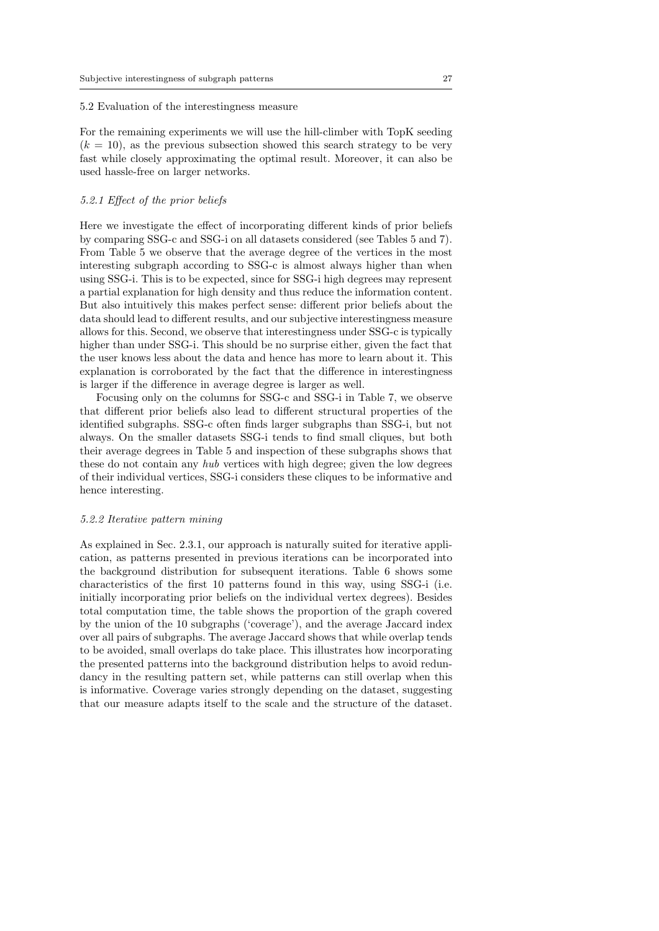### 5.2 Evaluation of the interestingness measure

For the remaining experiments we will use the hill-climber with TopK seeding  $(k = 10)$ , as the previous subsection showed this search strategy to be very fast while closely approximating the optimal result. Moreover, it can also be used hassle-free on larger networks.

## 5.2.1 Effect of the prior beliefs

Here we investigate the effect of incorporating different kinds of prior beliefs by comparing SSG-c and SSG-i on all datasets considered (see Tables 5 and 7). From Table 5 we observe that the average degree of the vertices in the most interesting subgraph according to SSG-c is almost always higher than when using SSG-i. This is to be expected, since for SSG-i high degrees may represent a partial explanation for high density and thus reduce the information content. But also intuitively this makes perfect sense: different prior beliefs about the data should lead to different results, and our subjective interestingness measure allows for this. Second, we observe that interestingness under SSG-c is typically higher than under SSG-i. This should be no surprise either, given the fact that the user knows less about the data and hence has more to learn about it. This explanation is corroborated by the fact that the difference in interestingness is larger if the difference in average degree is larger as well.

Focusing only on the columns for SSG-c and SSG-i in Table 7, we observe that different prior beliefs also lead to different structural properties of the identified subgraphs. SSG-c often finds larger subgraphs than SSG-i, but not always. On the smaller datasets SSG-i tends to find small cliques, but both their average degrees in Table 5 and inspection of these subgraphs shows that these do not contain any hub vertices with high degree; given the low degrees of their individual vertices, SSG-i considers these cliques to be informative and hence interesting.

#### 5.2.2 Iterative pattern mining

As explained in Sec. 2.3.1, our approach is naturally suited for iterative application, as patterns presented in previous iterations can be incorporated into the background distribution for subsequent iterations. Table 6 shows some characteristics of the first 10 patterns found in this way, using SSG-i (i.e. initially incorporating prior beliefs on the individual vertex degrees). Besides total computation time, the table shows the proportion of the graph covered by the union of the 10 subgraphs ('coverage'), and the average Jaccard index over all pairs of subgraphs. The average Jaccard shows that while overlap tends to be avoided, small overlaps do take place. This illustrates how incorporating the presented patterns into the background distribution helps to avoid redundancy in the resulting pattern set, while patterns can still overlap when this is informative. Coverage varies strongly depending on the dataset, suggesting that our measure adapts itself to the scale and the structure of the dataset.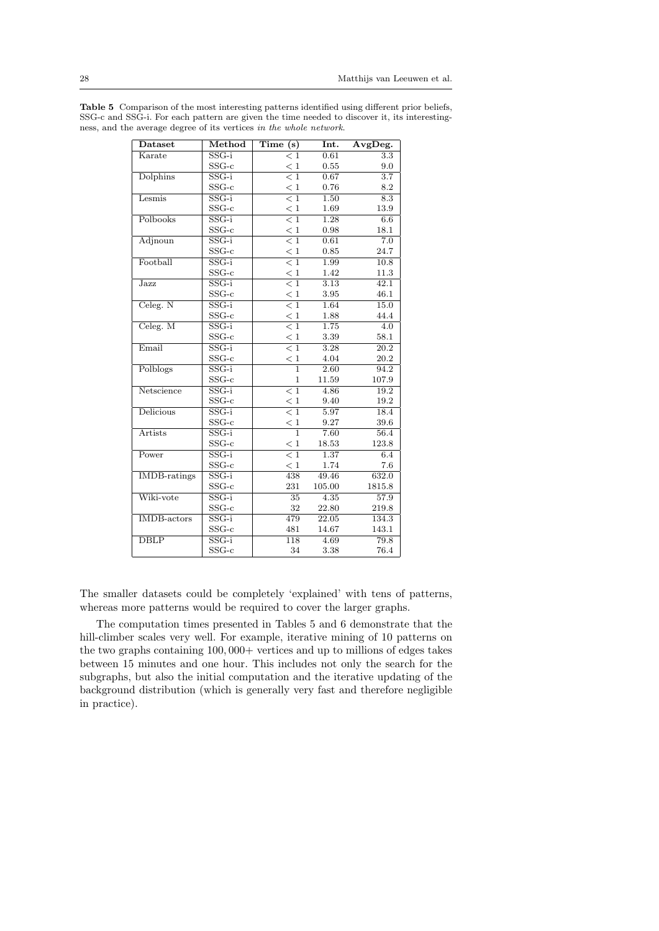| Dataset                    | Method                    | Time (s)        | Int.              | AvgDeg.           |
|----------------------------|---------------------------|-----------------|-------------------|-------------------|
| $\overline{\text{Karate}}$ | $SSG-i$                   | < 1             | 0.61              | 3.3               |
|                            | $SSG-c$                   | $<1\,$          | 0.55              | 9.0               |
| Dolphins                   | $SSG-i$                   | $\overline{<1}$ | 0.67              | 3.7               |
|                            | $SSG-c$                   | < 1             | 0.76              | 8.2               |
| Lesmis                     | $SSG-i$                   | $\overline{<1}$ | 1.50              | 8.3               |
|                            | $SSG-c$                   | $<\,1$          | 1.69              | 13.9              |
| Polbooks                   | $SSG-i$                   | $\overline{<1}$ | 1.28              | 6.6               |
|                            | $SSG-c$                   | < 1             | 0.98              | 18.1              |
| Adjnoun                    | $SSG-i$                   | $\overline{<1}$ | 0.61              | $\overline{7.0}$  |
|                            | $SSG-c$                   | < 1             | 0.85              | 24.7              |
| Football                   | $\overline{\text{SSG-i}}$ | $\overline{<1}$ | 1.99              | 10.8              |
|                            | $SSG-c$                   | < 1             | 1.42              | 11.3              |
| Jazz                       | $SSG-i$                   | $\overline{<1}$ | 3.13              | 42.1              |
|                            | $SSG-c$                   | $<1\,$          | $3.95\,$          | 46.1              |
| Celeg. $N$                 | $SSG-i$                   | $\overline{<1}$ | 1.64              | 15.0              |
|                            | $SSG-c$                   | $<1\,$          | 1.88              | 44.4              |
| Celeg. M                   | $SSG-i$                   | $\overline{<1}$ | 1.75              | 4.0               |
|                            | $SSG-c$                   | $<1\,$          | 3.39              | 58.1              |
| Email                      | $SSG-i$                   | $\overline{<1}$ | $\overline{3.28}$ | $\overline{20.2}$ |
|                            | $SSG-c$                   | < 1             | 4.04              | 20.2              |
| Polblogs                   | $SSG-i$                   | $\overline{1}$  | 2.60              | 94.2              |
|                            | $SSG-c$                   | $\mathbf{1}$    | 11.59             | 107.9             |
| Netscience                 | $SSG-i$                   | $\overline{<1}$ | 4.86              | 19.2              |
|                            | $SSG-c$                   | $<\,1$          | 9.40              | 19.2              |
| Delicious                  | $\overline{\text{SSG-i}}$ | $\overline{<1}$ | 5.97              | 18.4              |
|                            | $SSG-c$                   | $<1\,$          | 9.27              | 39.6              |
| <b>Artists</b>             | $SSG-i$                   | ī               | 7.60              | 56.4              |
|                            | $SSG-c$                   | $<1\,$          | 18.53             | 123.8             |
| Power                      | $\overline{\text{SSG-i}}$ | $\overline{<1}$ | 1.37              | 6.4               |
|                            | $SSG-c$                   | $<1\,$          | 1.74              | 7.6               |
| <b>IMDB-ratings</b>        | $SSG-i$                   | 438             | 49.46             | 632.0             |
|                            | $_{\rm SSG-c}$            | 231             | 105.00            | 1815.8            |
| Wiki-vote                  | $\overline{\text{SSG-i}}$ | $\overline{35}$ | $\overline{4.35}$ | 57.9              |
|                            | $SSG-c$                   | 32              | 22.80             | 219.8             |
| <b>IMDB-actors</b>         | $SSG-i$                   | 479             | 22.05             | 134.3             |
|                            | $SSG-c$                   | 481             | 14.67             | 143.1             |
| $\overline{\mathrm{DBLP}}$ | $\overline{\text{SSG-i}}$ | 118             | 4.69              | 79.8              |
|                            | $SSG-c$                   | 34              | $3.38\,$          | 76.4              |

Table 5 Comparison of the most interesting patterns identified using different prior beliefs, SSG-c and SSG-i. For each pattern are given the time needed to discover it, its interestingness, and the average degree of its vertices in the whole network.

The smaller datasets could be completely 'explained' with tens of patterns, whereas more patterns would be required to cover the larger graphs.

The computation times presented in Tables 5 and 6 demonstrate that the hill-climber scales very well. For example, iterative mining of 10 patterns on the two graphs containing 100, 000+ vertices and up to millions of edges takes between 15 minutes and one hour. This includes not only the search for the subgraphs, but also the initial computation and the iterative updating of the background distribution (which is generally very fast and therefore negligible in practice).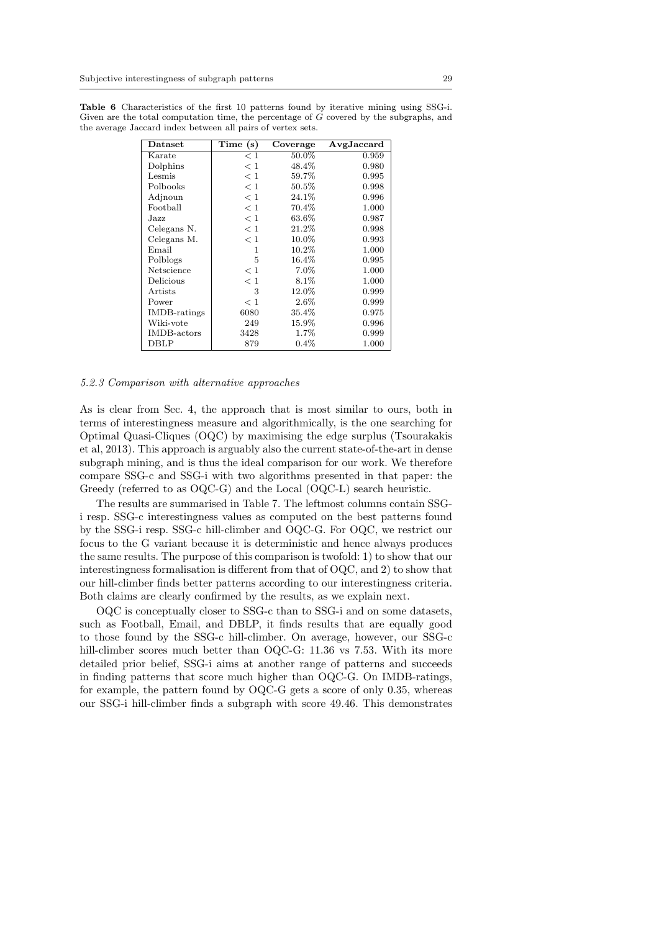| Dataset             | Time<br>(s) | Coverage | AvgJaccard |
|---------------------|-------------|----------|------------|
| Karate              | < 1         | 50.0%    | 0.959      |
| Dolphins            | < 1         | 48.4%    | 0.980      |
| Lesmis              | < 1         | 59.7%    | 0.995      |
| Polbooks            | < 1         | $50.5\%$ | 0.998      |
| Adjnoun             | < 1         | 24.1%    | 0.996      |
| Football            | < 1         | 70.4%    | 1.000      |
| Jazz                | < 1         | $63.6\%$ | 0.987      |
| Celegans N.         | < 1         | $21.2\%$ | 0.998      |
| Celegans M.         | < 1         | 10.0%    | 0.993      |
| Email               | 1           | $10.2\%$ | 1.000      |
| Polblogs            | 5           | 16.4%    | 0.995      |
| Netscience          | < 1         | $7.0\%$  | 1.000      |
| Delicious           | < 1         | $8.1\%$  | 1.000      |
| Artists             | 3           | 12.0%    | 0.999      |
| Power               | < 1         | $2.6\%$  | 0.999      |
| <b>IMDB-ratings</b> | 6080        | $35.4\%$ | 0.975      |
| Wiki-vote           | 249         | $15.9\%$ | 0.996      |
| <b>IMDB-actors</b>  | 3428        | 1.7%     | 0.999      |
| DBLP                | 879         | $0.4\%$  | 1.000      |

Table 6 Characteristics of the first 10 patterns found by iterative mining using SSG-i. Given are the total computation time, the percentage of  $G$  covered by the subgraphs, and the average Jaccard index between all pairs of vertex sets.

#### 5.2.3 Comparison with alternative approaches

As is clear from Sec. 4, the approach that is most similar to ours, both in terms of interestingness measure and algorithmically, is the one searching for Optimal Quasi-Cliques (OQC) by maximising the edge surplus (Tsourakakis et al, 2013). This approach is arguably also the current state-of-the-art in dense subgraph mining, and is thus the ideal comparison for our work. We therefore compare SSG-c and SSG-i with two algorithms presented in that paper: the Greedy (referred to as OQC-G) and the Local (OQC-L) search heuristic.

The results are summarised in Table 7. The leftmost columns contain SSGi resp. SSG-c interestingness values as computed on the best patterns found by the SSG-i resp. SSG-c hill-climber and OQC-G. For OQC, we restrict our focus to the G variant because it is deterministic and hence always produces the same results. The purpose of this comparison is twofold: 1) to show that our interestingness formalisation is different from that of OQC, and 2) to show that our hill-climber finds better patterns according to our interestingness criteria. Both claims are clearly confirmed by the results, as we explain next.

OQC is conceptually closer to SSG-c than to SSG-i and on some datasets, such as Football, Email, and DBLP, it finds results that are equally good to those found by the SSG-c hill-climber. On average, however, our SSG-c hill-climber scores much better than OQC-G: 11.36 vs 7.53. With its more detailed prior belief, SSG-i aims at another range of patterns and succeeds in finding patterns that score much higher than OQC-G. On IMDB-ratings, for example, the pattern found by OQC-G gets a score of only 0.35, whereas our SSG-i hill-climber finds a subgraph with score 49.46. This demonstrates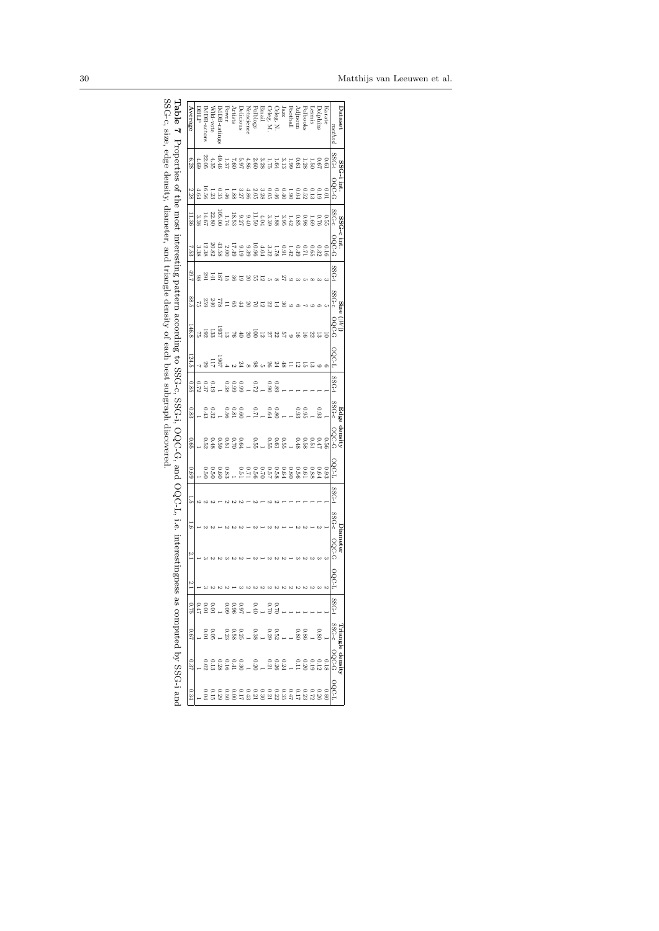| Jataset                | <b>SSG-i</b>                                                                                                                                                                                                                                                  | Į                                           | SSG-c int.                                                                        |                                                                                                                                                                                                                                                                                          |       | Size          |                                                                               |                          |                                                     | Edge                                                     | densit                                    |                  |       |       | Diameter       |       |                                          | Triangle densit                             |                                            |       |
|------------------------|---------------------------------------------------------------------------------------------------------------------------------------------------------------------------------------------------------------------------------------------------------------|---------------------------------------------|-----------------------------------------------------------------------------------|------------------------------------------------------------------------------------------------------------------------------------------------------------------------------------------------------------------------------------------------------------------------------------------|-------|---------------|-------------------------------------------------------------------------------|--------------------------|-----------------------------------------------------|----------------------------------------------------------|-------------------------------------------|------------------|-------|-------|----------------|-------|------------------------------------------|---------------------------------------------|--------------------------------------------|-------|
| method                 | <b>SSG-1</b>                                                                                                                                                                                                                                                  | 00C-G                                       | SSG-c                                                                             | 990-0                                                                                                                                                                                                                                                                                    | SSG-i | SSG-c         | CCG                                                                           | 00cL                     | SSG-i                                               | SSG-c                                                    | poc-G                                     | 700C             | SSG-i | SSG-c | <b>000-G</b>   | 00C-L | SSG-i                                    | SSG-c                                       | 000-0                                      | OQC-1 |
| erate                  | $^{19.0}$                                                                                                                                                                                                                                                     | 10.0                                        | 0.55                                                                              | 0.16                                                                                                                                                                                                                                                                                     |       |               |                                                                               |                          |                                                     |                                                          | 0.56                                      | 6.93             |       |       |                |       |                                          |                                             | 81.0                                       | 0.80  |
| olphins                |                                                                                                                                                                                                                                                               | 0.19                                        | 0.76                                                                              | 0.32                                                                                                                                                                                                                                                                                     |       |               | ម<br>មាន ក្នុង ក្នុង ក្នុង ក្នុង មិន មាន ដូច<br>ស្រុក ក្នុង ក្នុង ក្នុង ក្នុង |                          |                                                     | 6.93                                                     | 14.1                                      | F9 <sup>-0</sup> |       |       |                |       |                                          | 0.80                                        |                                            |       |
| esmis                  | $0.67$<br>1.50                                                                                                                                                                                                                                                | 0.13                                        | 1.69                                                                              |                                                                                                                                                                                                                                                                                          |       |               |                                                                               |                          |                                                     |                                                          | <b>C.51</b>                               |                  |       |       |                |       |                                          |                                             |                                            |       |
| Polbooks               | 1.28                                                                                                                                                                                                                                                          |                                             | 860                                                                               |                                                                                                                                                                                                                                                                                          |       |               |                                                                               |                          |                                                     | $-36$                                                    |                                           |                  |       |       |                |       |                                          |                                             |                                            |       |
| Adjnoun                | 19.0                                                                                                                                                                                                                                                          |                                             |                                                                                   |                                                                                                                                                                                                                                                                                          |       |               |                                                                               | <b>13 12 11 08 25 26</b> |                                                     | 6.93                                                     |                                           |                  |       |       |                |       |                                          | $\begin{array}{c} 0.86 \\ 0.86 \end{array}$ |                                            |       |
| Gotball                | $-1.99$                                                                                                                                                                                                                                                       |                                             |                                                                                   |                                                                                                                                                                                                                                                                                          |       |               |                                                                               |                          |                                                     |                                                          |                                           |                  |       |       |                |       |                                          |                                             |                                            |       |
|                        | بن<br>13                                                                                                                                                                                                                                                      |                                             |                                                                                   |                                                                                                                                                                                                                                                                                          |       |               |                                                                               |                          |                                                     |                                                          |                                           |                  |       |       |                |       |                                          |                                             |                                            |       |
|                        | 1.64                                                                                                                                                                                                                                                          |                                             |                                                                                   |                                                                                                                                                                                                                                                                                          |       |               |                                                                               |                          | 0.89                                                | 0.80                                                     |                                           |                  |       |       |                |       |                                          |                                             |                                            |       |
|                        | 1.75                                                                                                                                                                                                                                                          |                                             |                                                                                   |                                                                                                                                                                                                                                                                                          |       |               |                                                                               | K                        | 0.90                                                |                                                          |                                           |                  |       |       |                |       |                                          |                                             |                                            |       |
| linai.                 | 3.28                                                                                                                                                                                                                                                          | $0.05$<br>3.28                              |                                                                                   |                                                                                                                                                                                                                                                                                          |       |               |                                                                               |                          |                                                     |                                                          |                                           |                  |       |       |                |       |                                          |                                             |                                            |       |
| sgoldlo <sup>s</sup> . | 2.60                                                                                                                                                                                                                                                          | 2.05                                        | 0 1 3 1 3 4 4 5 6 7<br>8 4 9 8 9 9 4 5 6 7 8 9 7 8 9<br>6 4 9 8 9 4 9 5 7 8 9 7 8 | $\begin{array}{c} 0.0 & 0.01 & 0.01 \\ 0.0 & 0.01 & 0.01 \\ 0.0 & 0.01 & 0.01 \\ 0.0 & 0.01 & 0.02 \\ 0.0 & 0.01 & 0.02 \\ 0.0 & 0.01 & 0.02 \\ 0.0 & 0.01 & 0.02 \\ 0.0 & 0.01 & 0.02 \\ 0.0 & 0.01 & 0.02 \\ 0.0 & 0.01 & 0.02 \\ 0.0 & 0.01 & 0.02 \\ 0.0 & 0.01 & 0.02 \\ 0.0 & 0.0$ |       | 8122584812385 |                                                                               | 82 cm                    | $\frac{1}{2}$                                       | $\begin{array}{c}\n 0.5 \\ - 0.5 \\ - 0.5\n \end{array}$ | 00 000 0 000000<br>23 12 23 24 25 26 26 2 |                  |       |       |                |       | #221884-\$133-----<br>#221884-\$133----- |                                             | 0000 000 000000000<br>15301-464-0134645833 |       |
| <b>Jetscience</b>      |                                                                                                                                                                                                                                                               |                                             |                                                                                   |                                                                                                                                                                                                                                                                                          | 28    |               |                                                                               |                          |                                                     |                                                          |                                           |                  |       |       |                |       |                                          |                                             |                                            |       |
| <b>belicious</b>       | $4.86\phantom{1}$                                                                                                                                                                                                                                             |                                             |                                                                                   |                                                                                                                                                                                                                                                                                          |       |               |                                                                               |                          | 60.99                                               | 0.60                                                     |                                           |                  |       |       |                |       |                                          |                                             |                                            |       |
| <b>Lrtists</b>         |                                                                                                                                                                                                                                                               | $48.378$<br>$8.97848$<br>$8.9888$<br>$1.39$ |                                                                                   | 9 9 1 1 2 3 3 3 3<br>3 3 4 3 5 3 3 3<br>3 3 3 3 3 3                                                                                                                                                                                                                                      | 285   |               |                                                                               |                          |                                                     | 8.0                                                      |                                           |                  |       |       |                |       |                                          |                                             |                                            |       |
| awer                   | 7<br>13<br>19<br>19                                                                                                                                                                                                                                           |                                             |                                                                                   |                                                                                                                                                                                                                                                                                          |       |               |                                                                               |                          | $\begin{smallmatrix}0.98\ 0.38\ 1\end{smallmatrix}$ |                                                          |                                           |                  |       |       |                |       |                                          |                                             |                                            |       |
| MDB-ratings            |                                                                                                                                                                                                                                                               |                                             |                                                                                   |                                                                                                                                                                                                                                                                                          |       |               |                                                                               | $\overline{5}$           |                                                     | $\frac{6}{10}$                                           |                                           |                  |       |       |                |       |                                          |                                             |                                            |       |
| Viki-vote              |                                                                                                                                                                                                                                                               |                                             |                                                                                   |                                                                                                                                                                                                                                                                                          | 7.528 |               |                                                                               | $\overline{11}$          |                                                     | 0.32                                                     |                                           |                  |       |       |                |       |                                          |                                             |                                            |       |
| MIDB-actors            | $\begin{array}{c} 4.37 \\ 4.68 \end{array}$                                                                                                                                                                                                                   | 16.56                                       | $\frac{22.80}{14.67}$                                                             |                                                                                                                                                                                                                                                                                          |       |               |                                                                               |                          | 0<br>25<br>25                                       | 0.43                                                     |                                           |                  |       |       |                |       |                                          |                                             |                                            |       |
| <b>ATBL</b>            |                                                                                                                                                                                                                                                               | 4.64                                        |                                                                                   | ು<br>ಜನ                                                                                                                                                                                                                                                                                  |       |               |                                                                               |                          |                                                     |                                                          |                                           |                  |       |       |                |       |                                          |                                             |                                            |       |
| Average                | 6.28                                                                                                                                                                                                                                                          | 2.28                                        | 11.36                                                                             | 7.53                                                                                                                                                                                                                                                                                     | 49.7  | 88.5          | 146.8                                                                         | 124.5                    | $\frac{1}{85}$                                      | 0.83                                                     | 0.65                                      | $\frac{69}{2}$   | ò     | 5     | L <sub>2</sub> | LZ.   | $rac{1}{2}$                              | 0.67                                        | 0.37                                       | 0.34  |
| Lable                  | <b>7</b> Library of the saturation of $C_1$ , $C_2$ , $C_3$ , $C_4$ , $C_5$ , $C_6$ , $C_7$ , $C_8$ , $C_8$ , $C_9$ , $C_9$ , $C_9$ , $C_9$ , $C_9$ , $C_9$ , $C_9$ , $C_9$ , $C_9$ , $C_9$ , $C_9$ , $C_9$ , $C_9$ , $C_9$ , $C_9$ , $C_9$ , $C_9$ , $C_9$ , |                                             |                                                                                   |                                                                                                                                                                                                                                                                                          |       |               |                                                                               |                          |                                                     |                                                          |                                           |                  |       |       |                |       |                                          |                                             | as computed by SSG-i and                   |       |
| SSG-c<br>SIZe,         | edge density                                                                                                                                                                                                                                                  |                                             |                                                                                   | , diameter, and triangle density                                                                                                                                                                                                                                                         |       |               |                                                                               | 7 of each best subgrap   |                                                     |                                                          | discovered                                |                  |       |       |                |       |                                          |                                             |                                            |       |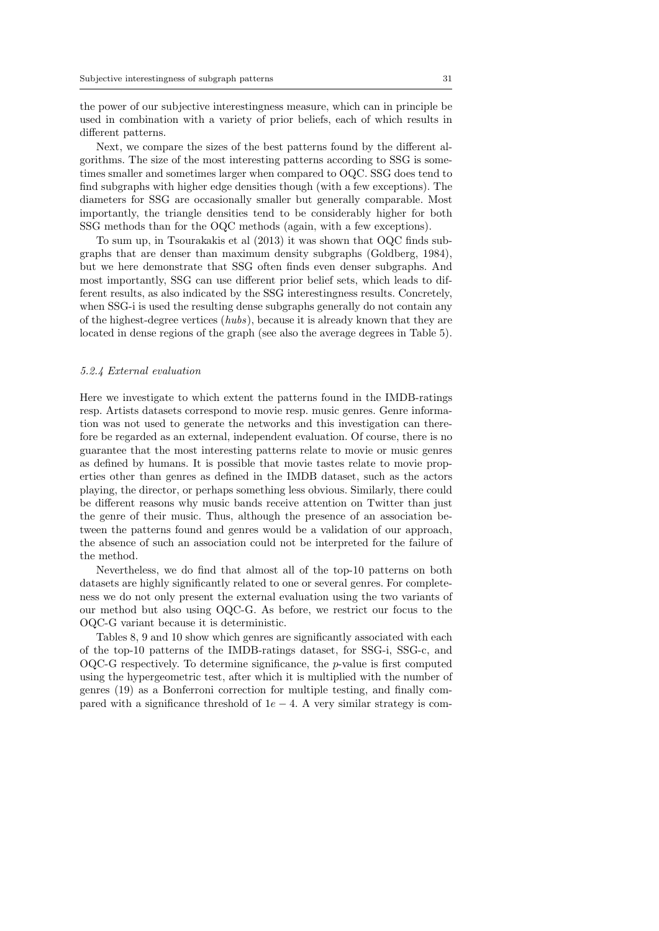the power of our subjective interestingness measure, which can in principle be used in combination with a variety of prior beliefs, each of which results in different patterns.

Next, we compare the sizes of the best patterns found by the different algorithms. The size of the most interesting patterns according to SSG is sometimes smaller and sometimes larger when compared to OQC. SSG does tend to find subgraphs with higher edge densities though (with a few exceptions). The diameters for SSG are occasionally smaller but generally comparable. Most importantly, the triangle densities tend to be considerably higher for both SSG methods than for the OQC methods (again, with a few exceptions).

To sum up, in Tsourakakis et al (2013) it was shown that OQC finds subgraphs that are denser than maximum density subgraphs (Goldberg, 1984), but we here demonstrate that SSG often finds even denser subgraphs. And most importantly, SSG can use different prior belief sets, which leads to different results, as also indicated by the SSG interestingness results. Concretely, when SSG-i is used the resulting dense subgraphs generally do not contain any of the highest-degree vertices (hubs), because it is already known that they are located in dense regions of the graph (see also the average degrees in Table 5).

#### 5.2.4 External evaluation

Here we investigate to which extent the patterns found in the IMDB-ratings resp. Artists datasets correspond to movie resp. music genres. Genre information was not used to generate the networks and this investigation can therefore be regarded as an external, independent evaluation. Of course, there is no guarantee that the most interesting patterns relate to movie or music genres as defined by humans. It is possible that movie tastes relate to movie properties other than genres as defined in the IMDB dataset, such as the actors playing, the director, or perhaps something less obvious. Similarly, there could be different reasons why music bands receive attention on Twitter than just the genre of their music. Thus, although the presence of an association between the patterns found and genres would be a validation of our approach, the absence of such an association could not be interpreted for the failure of the method.

Nevertheless, we do find that almost all of the top-10 patterns on both datasets are highly significantly related to one or several genres. For completeness we do not only present the external evaluation using the two variants of our method but also using OQC-G. As before, we restrict our focus to the OQC-G variant because it is deterministic.

Tables 8, 9 and 10 show which genres are significantly associated with each of the top-10 patterns of the IMDB-ratings dataset, for SSG-i, SSG-c, and OQC-G respectively. To determine significance, the  $p$ -value is first computed using the hypergeometric test, after which it is multiplied with the number of genres (19) as a Bonferroni correction for multiple testing, and finally compared with a significance threshold of  $1e - 4$ . A very similar strategy is com-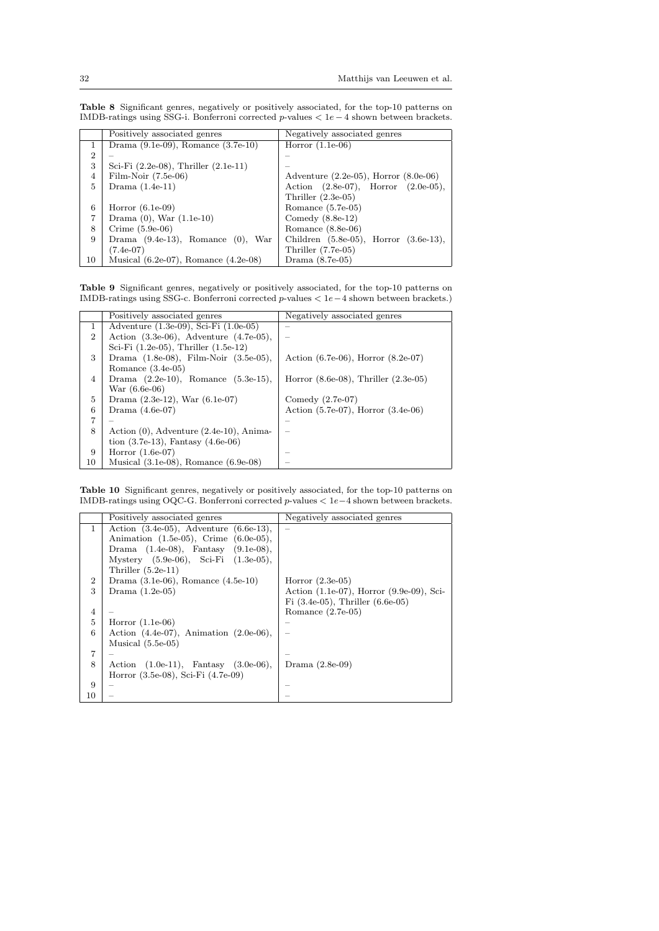|  |  | <b>Table 8</b> Significant genres, negatively or positively associated, for the top-10 patterns on   |  |  |  |  |  |
|--|--|------------------------------------------------------------------------------------------------------|--|--|--|--|--|
|  |  | IMDB-ratings using SSG-i. Bonferroni corrected <i>p</i> -values $\lt$ 1e – 4 shown between brackets. |  |  |  |  |  |

|                | Positively associated genres              | Negatively associated genres                |
|----------------|-------------------------------------------|---------------------------------------------|
|                | Drama $(9.1e-09)$ , Romance $(3.7e-10)$   | Horror $(1.1e-06)$                          |
| $\overline{2}$ |                                           |                                             |
| 3              | Sci-Fi $(2.2e-08)$ , Thriller $(2.1e-11)$ |                                             |
| 4              | Film-Noir $(7.5e-06)$                     | Adventure $(2.2e-05)$ , Horror $(8.0e-06)$  |
| 5              | Drama $(1.4e-11)$                         | Action $(2.8e-07)$ , Horror $(2.0e-05)$ ,   |
|                |                                           | Thriller $(2.3e-05)$                        |
| 6              | Horror $(6.1e-0.9)$                       | Romance $(5.7e-05)$                         |
| $\overline{7}$ | Drama $(0)$ , War $(1.1e-10)$             | Comedy $(8.8e-12)$                          |
| 8              | Crime $(5.9e-06)$                         | Romance $(8.8e-06)$                         |
| 9              | Drama $(9.4e-13)$ , Romance $(0)$ , War   | Children $(5.8e-05)$ , Horror $(3.6e-13)$ , |
|                | $(7.4e-07)$                               | Thriller $(7.7e-05)$                        |
| 10             | Musical $(6.2e-07)$ , Romance $(4.2e-08)$ | Drama $(8.7e-05)$                           |

Table 9 Significant genres, negatively or positively associated, for the top-10 patterns on IMDB-ratings using SSG-c. Bonferroni corrected p-values < 1e−4 shown between brackets.)

|    | Positively associated genres                  | Negatively associated genres              |
|----|-----------------------------------------------|-------------------------------------------|
| 1. | Adventure $(1.3e-09)$ , Sci-Fi $(1.0e-05)$    |                                           |
| 2  | Action $(3.3e-06)$ , Adventure $(4.7e-05)$ ,  |                                           |
|    | Sci-Fi $(1.2e-05)$ , Thriller $(1.5e-12)$     |                                           |
| 3  | Drama $(1.8e-0.8)$ , Film-Noir $(3.5e-0.5)$ , | Action $(6.7e-06)$ , Horror $(8.2e-07)$   |
|    | Romance $(3.4e-05)$                           |                                           |
| 4  | Drama $(2.2e-10)$ , Romance $(5.3e-15)$ ,     | Horror $(8.6e-08)$ , Thriller $(2.3e-05)$ |
|    | $War(6.6e-06)$                                |                                           |
| 5  | Drama $(2.3e-12)$ , War $(6.1e-07)$           | Comedy $(2.7e-07)$                        |
| 6  | Drama $(4.6e-07)$                             | Action $(5.7e-07)$ , Horror $(3.4e-06)$   |
| 7  |                                               |                                           |
| 8  | Action $(0)$ , Adventure $(2.4e-10)$ , Anima- |                                           |
|    | tion $(3.7e-13)$ , Fantasy $(4.6e-06)$        |                                           |
| 9  | Horror $(1.6e-07)$                            |                                           |
| 10 | Musical $(3.1e-08)$ , Romance $(6.9e-08)$     |                                           |
|    |                                               |                                           |

Table 10 Significant genres, negatively or positively associated, for the top-10 patterns on IMDB-ratings using OQC-G. Bonferroni corrected p-values < 1e−4 shown between brackets.

|              | Positively associated genres                 | Negatively associated genres                   |
|--------------|----------------------------------------------|------------------------------------------------|
| $\mathbf{1}$ | Action $(3.4e-05)$ , Adventure $(6.6e-13)$ , |                                                |
|              | Animation $(1.5e-05)$ , Crime $(6.0e-05)$ ,  |                                                |
|              | Drama $(1.4e-08)$ , Fantasy $(9.1e-08)$ ,    |                                                |
|              | Mystery (5.9e-06), Sci-Fi (1.3e-05),         |                                                |
|              | Thriller $(5.2e-11)$                         |                                                |
| 2            | Drama $(3.1e-06)$ , Romance $(4.5e-10)$      | Horror $(2.3e-0.5)$                            |
| 3            | Drama $(1.2e-05)$                            | Action $(1.1e-07)$ , Horror $(9.9e-09)$ , Sci- |
|              |                                              | Fi $(3.4e-05)$ , Thriller $(6.6e-05)$          |
| 4            |                                              | Romance $(2.7e-05)$                            |
| 5            | Horror $(1.1e-06)$                           |                                                |
| 6            | Action $(4.4e-07)$ , Animation $(2.0e-06)$ , |                                                |
|              | Musical $(5.5e-05)$                          |                                                |
| 7            |                                              |                                                |
| 8            | Action $(1.0e-11)$ , Fantasy $(3.0e-06)$ ,   | Drama $(2.8e-0.9)$                             |
|              | Horror (3.5e-08), Sci-Fi (4.7e-09)           |                                                |
| 9            |                                              |                                                |
| 10           |                                              |                                                |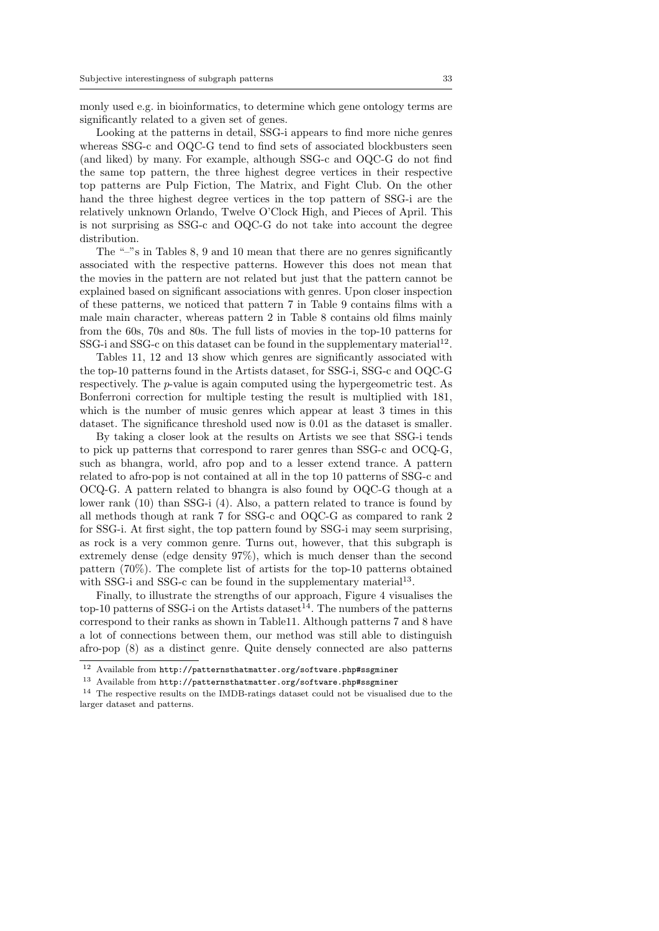monly used e.g. in bioinformatics, to determine which gene ontology terms are significantly related to a given set of genes.

Looking at the patterns in detail, SSG-i appears to find more niche genres whereas SSG-c and OQC-G tend to find sets of associated blockbusters seen (and liked) by many. For example, although SSG-c and OQC-G do not find the same top pattern, the three highest degree vertices in their respective top patterns are Pulp Fiction, The Matrix, and Fight Club. On the other hand the three highest degree vertices in the top pattern of SSG-i are the relatively unknown Orlando, Twelve O'Clock High, and Pieces of April. This is not surprising as SSG-c and OQC-G do not take into account the degree distribution.

The "–"s in Tables 8, 9 and 10 mean that there are no genres significantly associated with the respective patterns. However this does not mean that the movies in the pattern are not related but just that the pattern cannot be explained based on significant associations with genres. Upon closer inspection of these patterns, we noticed that pattern 7 in Table 9 contains films with a male main character, whereas pattern 2 in Table 8 contains old films mainly from the 60s, 70s and 80s. The full lists of movies in the top-10 patterns for SSG-i and SSG-c on this dataset can be found in the supplementary material<sup>12</sup>.

Tables 11, 12 and 13 show which genres are significantly associated with the top-10 patterns found in the Artists dataset, for SSG-i, SSG-c and OQC-G respectively. The p-value is again computed using the hypergeometric test. As Bonferroni correction for multiple testing the result is multiplied with 181, which is the number of music genres which appear at least 3 times in this dataset. The significance threshold used now is 0.01 as the dataset is smaller.

By taking a closer look at the results on Artists we see that SSG-i tends to pick up patterns that correspond to rarer genres than SSG-c and OCQ-G, such as bhangra, world, afro pop and to a lesser extend trance. A pattern related to afro-pop is not contained at all in the top 10 patterns of SSG-c and OCQ-G. A pattern related to bhangra is also found by OQC-G though at a lower rank (10) than SSG-i (4). Also, a pattern related to trance is found by all methods though at rank 7 for SSG-c and OQC-G as compared to rank 2 for SSG-i. At first sight, the top pattern found by SSG-i may seem surprising, as rock is a very common genre. Turns out, however, that this subgraph is extremely dense (edge density 97%), which is much denser than the second pattern (70%). The complete list of artists for the top-10 patterns obtained with SSG-i and SSG-c can be found in the supplementary material<sup>13</sup>.

Finally, to illustrate the strengths of our approach, Figure 4 visualises the top-10 patterns of SSG-i on the Artists dataset<sup>14</sup>. The numbers of the patterns correspond to their ranks as shown in Table11. Although patterns 7 and 8 have a lot of connections between them, our method was still able to distinguish afro-pop (8) as a distinct genre. Quite densely connected are also patterns

 $^{12}\,$  Available from <code>http://patternsthatmatter.org/software.php#ssgminer</code>

 $^{13}\,$  Available from  ${\tt http://patternsthatmatter.org/software.php#ssgminer}$ 

<sup>14</sup> The respective results on the IMDB-ratings dataset could not be visualised due to the larger dataset and patterns.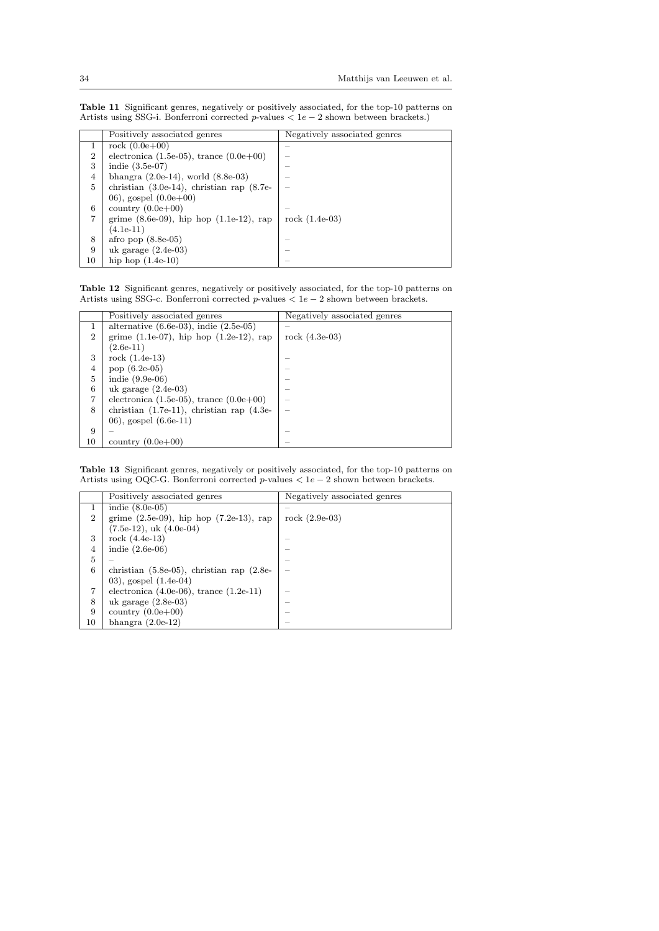Table 11 Significant genres, negatively or positively associated, for the top-10 patterns on Artists using SSG-i. Bonferroni corrected p-values < 1e − 2 shown between brackets.)

|                | Positively associated genres                   | Negatively associated genres |
|----------------|------------------------------------------------|------------------------------|
| 1.             | $rock (0.0e + 00)$                             |                              |
| $\overline{2}$ | electronica $(1.5e-05)$ , trance $(0.0e+00)$   |                              |
| 3              | indie $(3.5e-07)$                              |                              |
| $\overline{4}$ | bhangra $(2.0e-14)$ , world $(8.8e-03)$        |                              |
| 5              | christian $(3.0e-14)$ , christian rap $(8.7e-$ |                              |
|                | 06), gospel $(0.0e+00)$                        |                              |
| 6              | country $(0.0e+00)$                            |                              |
| 7              | grime $(8.6e-09)$ , hip hop $(1.1e-12)$ , rap  | $rock (1.4e-03)$             |
|                | $(4.1e-11)$                                    |                              |
| 8              | afro pop $(8.8e-05)$                           |                              |
| 9              | uk garage $(2.4e-03)$                          |                              |
| 10             | hip hop $(1.4e-10)$                            |                              |

Table 12 Significant genres, negatively or positively associated, for the top-10 patterns on Artists using SSG-c. Bonferroni corrected  $p$ -values  $\lt$  1e − 2 shown between brackets.

|                | Positively associated genres                   | Negatively associated genres |
|----------------|------------------------------------------------|------------------------------|
| 1.             | alternative $(6.6e-03)$ , indie $(2.5e-05)$    |                              |
| $\overline{2}$ | grime $(1.1e-07)$ , hip hop $(1.2e-12)$ , rap  | $rock(4.3e-03)$              |
|                | $(2.6e-11)$                                    |                              |
| 3              | $rock (1.4e-13)$                               |                              |
| 4              | pop $(6.2e-05)$                                |                              |
| 5              | indie $(9.9e-06)$                              |                              |
| 6              | uk garage $(2.4e-03)$                          |                              |
| 7              | electronica $(1.5e-05)$ , trance $(0.0e+00)$   |                              |
| 8              | christian $(1.7e-11)$ , christian rap $(4.3e-$ |                              |
|                | $(6.6e-11)$                                    |                              |
| 9              |                                                |                              |
| 10             | country $(0.0e+0.0)$                           |                              |

Table 13 Significant genres, negatively or positively associated, for the top-10 patterns on Artists using OQC-G. Bonferroni corrected p-values < 1e − 2 shown between brackets.

|                | Positively associated genres                       | Negatively associated genres |
|----------------|----------------------------------------------------|------------------------------|
|                | indie $(8.0e-05)$                                  |                              |
| $\overline{2}$ | grime $(2.5e-09)$ , hip hop $(7.2e-13)$ , rap      | $rock (2.9e-03)$             |
|                | $(7.5e-12)$ , uk $(4.0e-04)$                       |                              |
| 3              | $rock(4.4e-13)$                                    |                              |
| $\overline{4}$ | indie $(2.6e-06)$                                  |                              |
| 5              |                                                    |                              |
| 6              | christian $(5.8e-05)$ , christian rap $(2.8e-0.5)$ |                              |
|                | $(03)$ , gospel $(1.4e-04)$                        |                              |
| 7              | electronica $(4.0e-06)$ , trance $(1.2e-11)$       |                              |
| 8              | uk garage $(2.8e-03)$                              |                              |
| 9              | country $(0.0e+00)$                                |                              |
| 10             | bhangra $(2.0e-12)$                                |                              |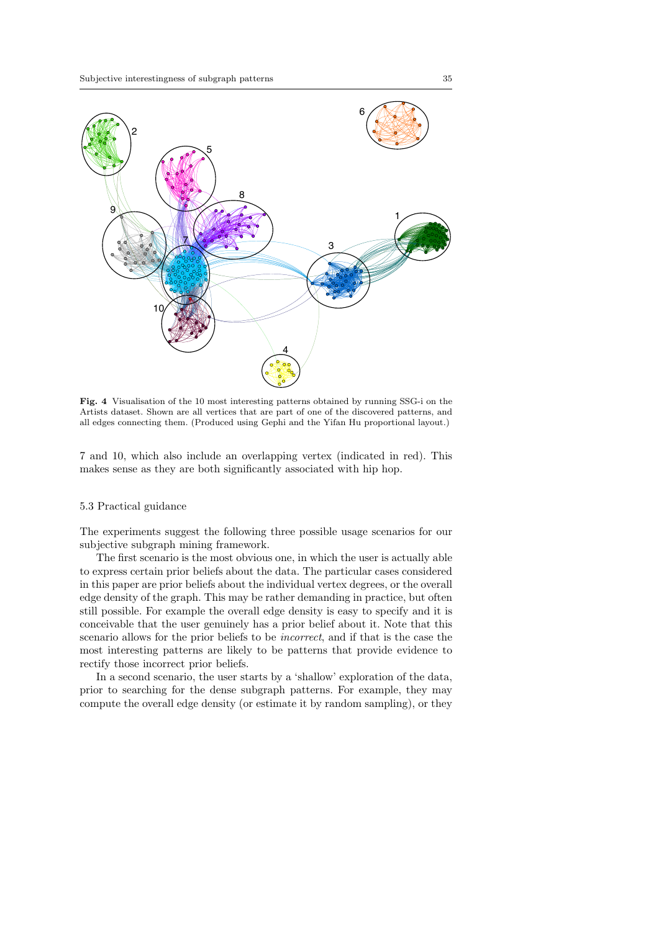

Fig. 4 Visualisation of the 10 most interesting patterns obtained by running SSG-i on the Artists dataset. Shown are all vertices that are part of one of the discovered patterns, and all edges connecting them. (Produced using Gephi and the Yifan Hu proportional layout.)

7 and 10, which also include an overlapping vertex (indicated in red). This makes sense as they are both significantly associated with hip hop.

# 5.3 Practical guidance

The experiments suggest the following three possible usage scenarios for our subjective subgraph mining framework.

The first scenario is the most obvious one, in which the user is actually able to express certain prior beliefs about the data. The particular cases considered in this paper are prior beliefs about the individual vertex degrees, or the overall edge density of the graph. This may be rather demanding in practice, but often still possible. For example the overall edge density is easy to specify and it is conceivable that the user genuinely has a prior belief about it. Note that this scenario allows for the prior beliefs to be incorrect, and if that is the case the most interesting patterns are likely to be patterns that provide evidence to rectify those incorrect prior beliefs.

In a second scenario, the user starts by a 'shallow' exploration of the data, prior to searching for the dense subgraph patterns. For example, they may compute the overall edge density (or estimate it by random sampling), or they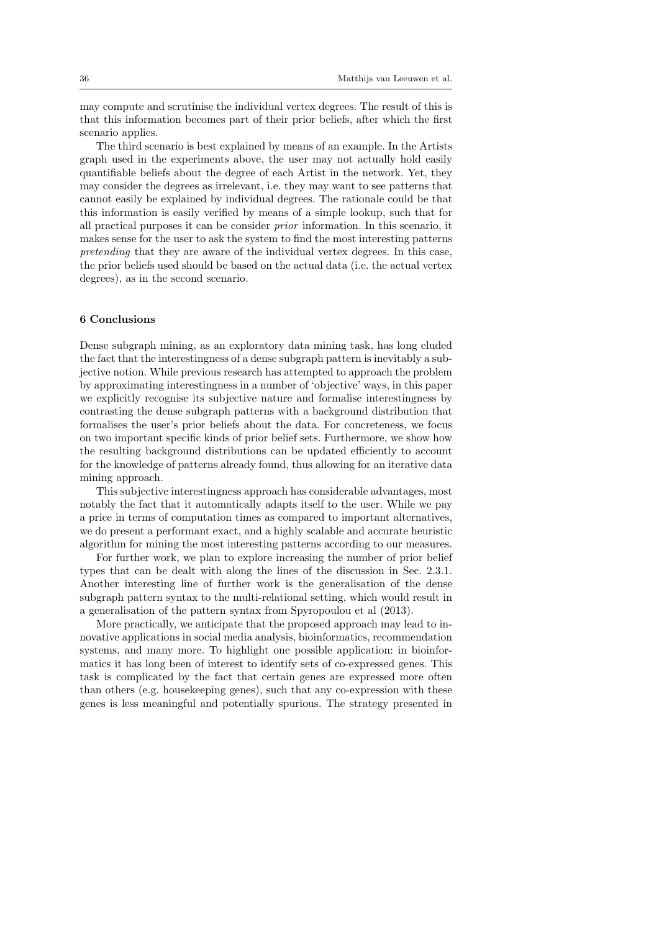may compute and scrutinise the individual vertex degrees. The result of this is that this information becomes part of their prior beliefs, after which the first scenario applies.

The third scenario is best explained by means of an example. In the Artists graph used in the experiments above, the user may not actually hold easily quantifiable beliefs about the degree of each Artist in the network. Yet, they may consider the degrees as irrelevant, i.e. they may want to see patterns that cannot easily be explained by individual degrees. The rationale could be that this information is easily verified by means of a simple lookup, such that for all practical purposes it can be consider prior information. In this scenario, it makes sense for the user to ask the system to find the most interesting patterns pretending that they are aware of the individual vertex degrees. In this case, the prior beliefs used should be based on the actual data (i.e. the actual vertex degrees), as in the second scenario.

# 6 Conclusions

Dense subgraph mining, as an exploratory data mining task, has long eluded the fact that the interestingness of a dense subgraph pattern is inevitably a subjective notion. While previous research has attempted to approach the problem by approximating interestingness in a number of 'objective' ways, in this paper we explicitly recognise its subjective nature and formalise interestingness by contrasting the dense subgraph patterns with a background distribution that formalises the user's prior beliefs about the data. For concreteness, we focus on two important specific kinds of prior belief sets. Furthermore, we show how the resulting background distributions can be updated efficiently to account for the knowledge of patterns already found, thus allowing for an iterative data mining approach.

This subjective interestingness approach has considerable advantages, most notably the fact that it automatically adapts itself to the user. While we pay a price in terms of computation times as compared to important alternatives, we do present a performant exact, and a highly scalable and accurate heuristic algorithm for mining the most interesting patterns according to our measures.

For further work, we plan to explore increasing the number of prior belief types that can be dealt with along the lines of the discussion in Sec. 2.3.1. Another interesting line of further work is the generalisation of the dense subgraph pattern syntax to the multi-relational setting, which would result in a generalisation of the pattern syntax from Spyropoulou et al (2013).

More practically, we anticipate that the proposed approach may lead to innovative applications in social media analysis, bioinformatics, recommendation systems, and many more. To highlight one possible application: in bioinformatics it has long been of interest to identify sets of co-expressed genes. This task is complicated by the fact that certain genes are expressed more often than others (e.g. housekeeping genes), such that any co-expression with these genes is less meaningful and potentially spurious. The strategy presented in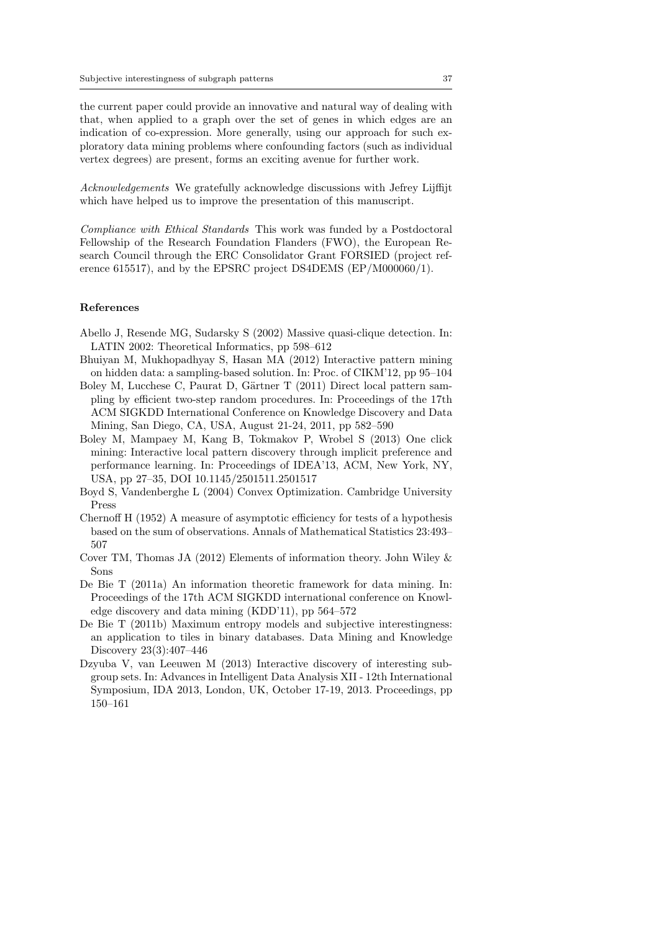the current paper could provide an innovative and natural way of dealing with that, when applied to a graph over the set of genes in which edges are an indication of co-expression. More generally, using our approach for such exploratory data mining problems where confounding factors (such as individual vertex degrees) are present, forms an exciting avenue for further work.

Acknowledgements We gratefully acknowledge discussions with Jefrey Lijffijt which have helped us to improve the presentation of this manuscript.

Compliance with Ethical Standards This work was funded by a Postdoctoral Fellowship of the Research Foundation Flanders (FWO), the European Research Council through the ERC Consolidator Grant FORSIED (project reference 615517), and by the EPSRC project DS4DEMS (EP/M000060/1).

# References

- Abello J, Resende MG, Sudarsky S (2002) Massive quasi-clique detection. In: LATIN 2002: Theoretical Informatics, pp 598–612
- Bhuiyan M, Mukhopadhyay S, Hasan MA (2012) Interactive pattern mining on hidden data: a sampling-based solution. In: Proc. of CIKM'12, pp 95–104
- Boley M, Lucchese C, Paurat D, Gärtner T (2011) Direct local pattern sampling by efficient two-step random procedures. In: Proceedings of the 17th ACM SIGKDD International Conference on Knowledge Discovery and Data Mining, San Diego, CA, USA, August 21-24, 2011, pp 582–590
- Boley M, Mampaey M, Kang B, Tokmakov P, Wrobel S (2013) One click mining: Interactive local pattern discovery through implicit preference and performance learning. In: Proceedings of IDEA'13, ACM, New York, NY, USA, pp 27–35, DOI 10.1145/2501511.2501517
- Boyd S, Vandenberghe L (2004) Convex Optimization. Cambridge University Press
- Chernoff H (1952) A measure of asymptotic efficiency for tests of a hypothesis based on the sum of observations. Annals of Mathematical Statistics 23:493– 507
- Cover TM, Thomas JA (2012) Elements of information theory. John Wiley & Sons
- De Bie T (2011a) An information theoretic framework for data mining. In: Proceedings of the 17th ACM SIGKDD international conference on Knowledge discovery and data mining (KDD'11), pp 564–572
- De Bie T (2011b) Maximum entropy models and subjective interestingness: an application to tiles in binary databases. Data Mining and Knowledge Discovery 23(3):407–446
- Dzyuba V, van Leeuwen M (2013) Interactive discovery of interesting subgroup sets. In: Advances in Intelligent Data Analysis XII - 12th International Symposium, IDA 2013, London, UK, October 17-19, 2013. Proceedings, pp 150–161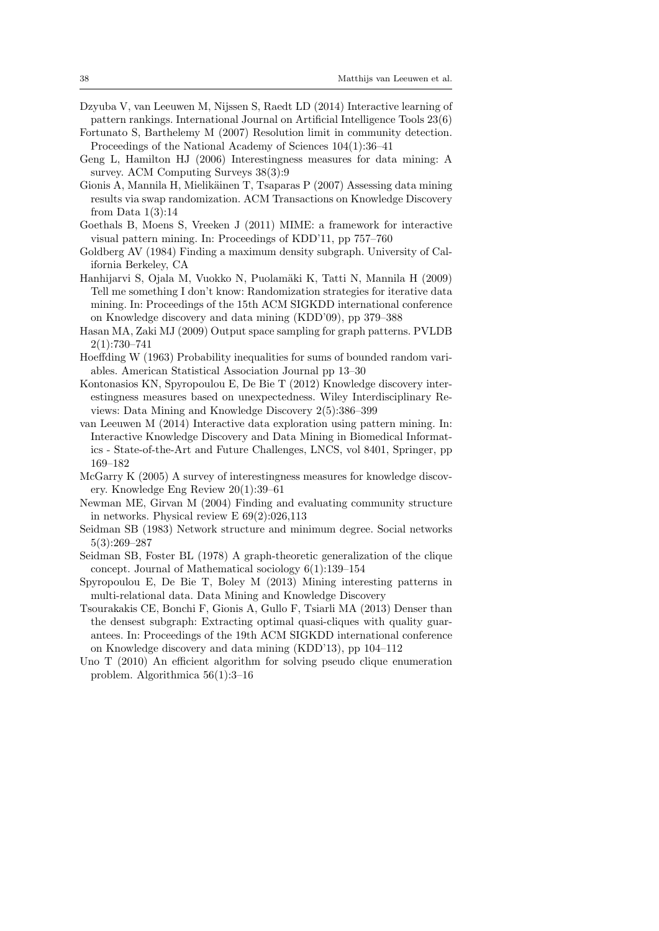- Dzyuba V, van Leeuwen M, Nijssen S, Raedt LD (2014) Interactive learning of pattern rankings. International Journal on Artificial Intelligence Tools 23(6)
- Fortunato S, Barthelemy M (2007) Resolution limit in community detection. Proceedings of the National Academy of Sciences 104(1):36–41
- Geng L, Hamilton HJ (2006) Interestingness measures for data mining: A survey. ACM Computing Surveys 38(3):9
- Gionis A, Mannila H, Mielikäinen T, Tsaparas P (2007) Assessing data mining results via swap randomization. ACM Transactions on Knowledge Discovery from Data  $1(3):14$
- Goethals B, Moens S, Vreeken J (2011) MIME: a framework for interactive visual pattern mining. In: Proceedings of KDD'11, pp 757–760
- Goldberg AV (1984) Finding a maximum density subgraph. University of California Berkeley, CA
- Hanhijarvi S, Ojala M, Vuokko N, Puolamäki K, Tatti N, Mannila H (2009) Tell me something I don't know: Randomization strategies for iterative data mining. In: Proceedings of the 15th ACM SIGKDD international conference on Knowledge discovery and data mining (KDD'09), pp 379–388
- Hasan MA, Zaki MJ (2009) Output space sampling for graph patterns. PVLDB 2(1):730–741
- Hoeffding W (1963) Probability inequalities for sums of bounded random variables. American Statistical Association Journal pp 13–30
- Kontonasios KN, Spyropoulou E, De Bie T (2012) Knowledge discovery interestingness measures based on unexpectedness. Wiley Interdisciplinary Reviews: Data Mining and Knowledge Discovery 2(5):386–399
- van Leeuwen M (2014) Interactive data exploration using pattern mining. In: Interactive Knowledge Discovery and Data Mining in Biomedical Informatics - State-of-the-Art and Future Challenges, LNCS, vol 8401, Springer, pp 169–182
- McGarry K (2005) A survey of interestingness measures for knowledge discovery. Knowledge Eng Review 20(1):39–61
- Newman ME, Girvan M (2004) Finding and evaluating community structure in networks. Physical review E 69(2):026,113
- Seidman SB (1983) Network structure and minimum degree. Social networks 5(3):269–287
- Seidman SB, Foster BL (1978) A graph-theoretic generalization of the clique concept. Journal of Mathematical sociology 6(1):139–154
- Spyropoulou E, De Bie T, Boley M (2013) Mining interesting patterns in multi-relational data. Data Mining and Knowledge Discovery
- Tsourakakis CE, Bonchi F, Gionis A, Gullo F, Tsiarli MA (2013) Denser than the densest subgraph: Extracting optimal quasi-cliques with quality guarantees. In: Proceedings of the 19th ACM SIGKDD international conference on Knowledge discovery and data mining (KDD'13), pp 104–112
- Uno T (2010) An efficient algorithm for solving pseudo clique enumeration problem. Algorithmica 56(1):3–16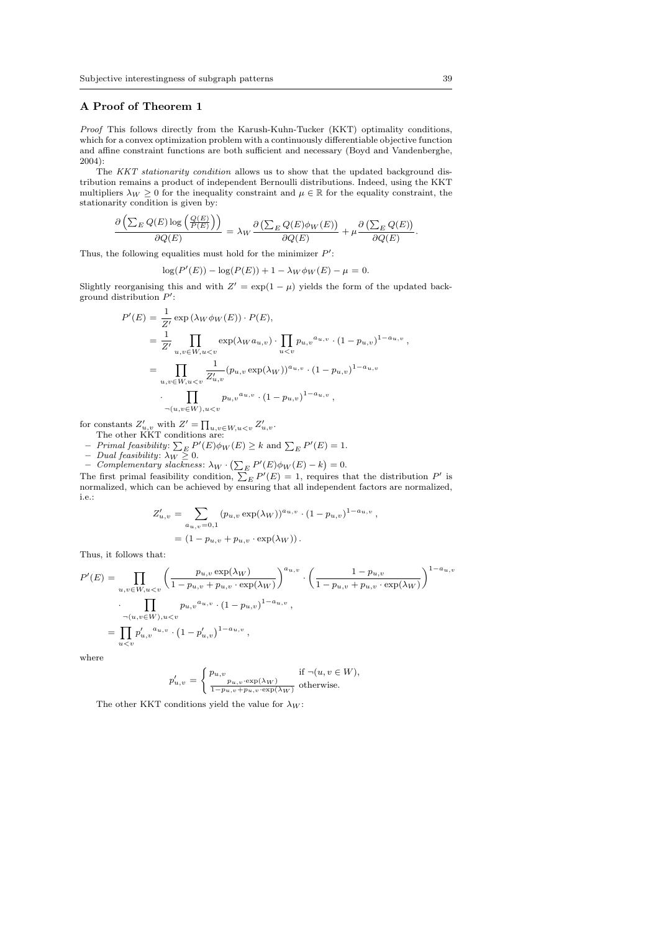# A Proof of Theorem 1

Proof This follows directly from the Karush-Kuhn-Tucker (KKT) optimality conditions, which for a convex optimization problem with a continuously differentiable objective function and affine constraint functions are both sufficient and necessary (Boyd and Vandenberghe, 2004):

The KKT stationarity condition allows us to show that the updated background distribution remains a product of independent Bernoulli distributions. Indeed, using the KKT multipliers  $\lambda_W \geq 0$  for the inequality constraint and  $\mu \in \mathbb{R}$  for the equality constraint, the stationarity condition is given by:

$$
\frac{\partial \left( \sum_{E} Q(E) \log \left( \frac{Q(E)}{P(E)} \right) \right)}{\partial Q(E)} = \lambda_W \frac{\partial \left( \sum_{E} Q(E) \phi_W(E) \right)}{\partial Q(E)} + \mu \frac{\partial \left( \sum_{E} Q(E) \right)}{\partial Q(E)}.
$$

Thus, the following equalities must hold for the minimizer  $P'$ :

$$
\log(P'(E)) - \log(P(E)) + 1 - \lambda_W \phi_W(E) - \mu = 0.
$$

Slightly reorganising this and with  $Z' = \exp(1 - \mu)$  yields the form of the updated background distribution  $P'$ :

$$
P'(E) = \frac{1}{Z'} \exp(\lambda_W \phi_W(E)) \cdot P(E),
$$
  
\n
$$
= \frac{1}{Z'} \prod_{u,v \in W, u < v} \exp(\lambda_W a_{u,v}) \cdot \prod_{u < v} p_{u,v} a_{u,v} \cdot (1 - p_{u,v})^{1 - a_{u,v}},
$$
  
\n
$$
= \prod_{u,v \in W, u < v} \frac{1}{Z'_{u,v}} (p_{u,v} \exp(\lambda_W))^{a_{u,v}} \cdot (1 - p_{u,v})^{1 - a_{u,v}}
$$
  
\n
$$
\cdot \prod_{u,v \in W, u < v} p_{u,v} a_{u,v} \cdot (1 - p_{u,v})^{1 - a_{u,v}},
$$

for constants  $Z'_{u,v}$  with  $Z' = \prod_{u,v \in W, u \lt v} Z'_{u,v}$ .<br>The other KKT conditions are:

- 
- Primal feasibility:  $\sum_{E} P'(E) \phi_W(E) \geq k$  and  $\sum_{E} P'(E) = 1$ .
- $-$  Dual feasibility:  $\lambda_W \geq 0$ .
- Complementary slackness:  $\lambda_W \cdot (\sum_E P'(E) \phi_W(E) k) = 0.$

The first primal feasibility condition,  $\sum_{E} P'(E) = 1$ , requires that the distribution P' is normalized, which can be achieved by ensuring that all independent factors are normalized, i.e.:

$$
Z'_{u,v} = \sum_{a_{u,v}=0,1} (p_{u,v} \exp(\lambda_W))^{a_{u,v}} \cdot (1-p_{u,v})^{1-a_{u,v}},
$$
  
=  $(1-p_{u,v}+p_{u,v} \cdot \exp(\lambda_W)).$ 

Thus, it follows that:

$$
P'(E) = \prod_{u,v \in W, u < v} \left( \frac{p_{u,v} \exp(\lambda_W)}{1 - p_{u,v} + p_{u,v} \cdot \exp(\lambda_W)} \right)^{a_{u,v}} \cdot \left( \frac{1 - p_{u,v}}{1 - p_{u,v} + p_{u,v} \cdot \exp(\lambda_W)} \right)^{1 - a_{u,v}} \cdot \prod_{\substack{(u,v \in W), u < v}} p_{u,v} a_{u,v} \cdot (1 - p_{u,v})^{1 - a_{u,v}},
$$
\n
$$
= \prod_{u < v} p'_{u,v} a_{u,v} \cdot (1 - p'_{u,v})^{1 - a_{u,v}},
$$

where

$$
p'_{u,v} = \begin{cases} p_{u,v} & \text{if } \neg(u,v \in W), \\ \frac{p_{u,v} \cdot \exp(\lambda_W)}{1 - p_{u,v} + p_{u,v} \cdot \exp(\lambda_W)} & \text{otherwise.} \end{cases}
$$

The other KKT conditions yield the value for  $\lambda_W$ :